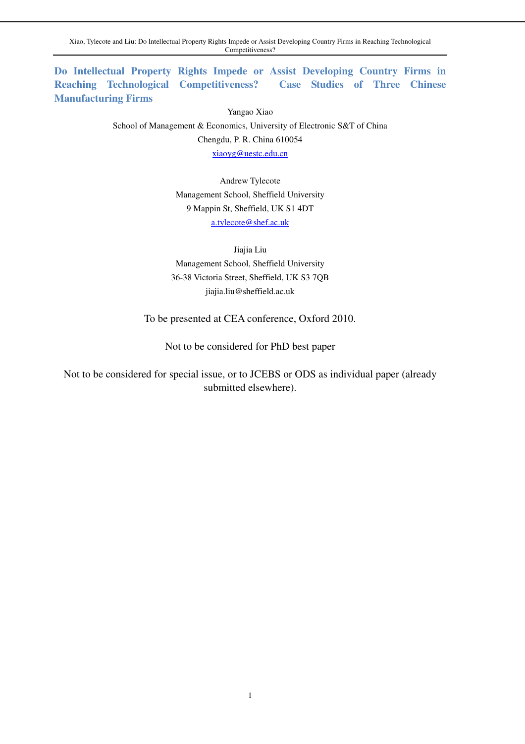**Do Intellectual Property Rights Impede or Assist Developing Country Firms in Reaching Technological Competitiveness? Case Studies of Three Chinese Manufacturing Firms** 

> Yangao Xiao School of Management & Economics, University of Electronic S&T of China Chengdu, P. R. China 610054 xiaoyg@uestc.edu.cn

> > Andrew Tylecote Management School, Sheffield University 9 Mappin St, Sheffield, UK S1 4DT a.tylecote@shef.ac.uk

Jiajia Liu Management School, Sheffield University 36-38 Victoria Street, Sheffield, UK S3 7QB jiajia.liu@sheffield.ac.uk

To be presented at CEA conference, Oxford 2010.

Not to be considered for PhD best paper

Not to be considered for special issue, or to JCEBS or ODS as individual paper (already submitted elsewhere).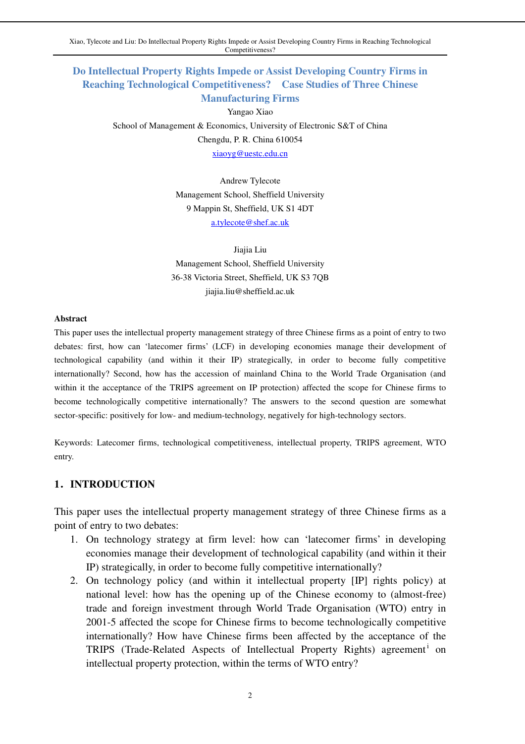Xiao, Tylecote and Liu: Do Intellectual Property Rights Impede or Assist Developing Country Firms in Reaching Technological Competitiveness?

## **Do Intellectual Property Rights Impede or Assist Developing Country Firms in Reaching Technological Competitiveness? Case Studies of Three Chinese Manufacturing Firms**

Yangao Xiao

School of Management & Economics, University of Electronic S&T of China Chengdu, P. R. China 610054 xiaoyg@uestc.edu.cn

> Andrew Tylecote Management School, Sheffield University 9 Mappin St, Sheffield, UK S1 4DT a.tylecote@shef.ac.uk

Jiajia Liu Management School, Sheffield University 36-38 Victoria Street, Sheffield, UK S3 7QB jiajia.liu@sheffield.ac.uk

#### **Abstract**

This paper uses the intellectual property management strategy of three Chinese firms as a point of entry to two debates: first, how can 'latecomer firms' (LCF) in developing economies manage their development of technological capability (and within it their IP) strategically, in order to become fully competitive internationally? Second, how has the accession of mainland China to the World Trade Organisation (and within it the acceptance of the TRIPS agreement on IP protection) affected the scope for Chinese firms to become technologically competitive internationally? The answers to the second question are somewhat sector-specific: positively for low- and medium-technology, negatively for high-technology sectors.

Keywords: Latecomer firms, technological competitiveness, intellectual property, TRIPS agreement, WTO entry.

### **1**.**INTRODUCTION**

This paper uses the intellectual property management strategy of three Chinese firms as a point of entry to two debates:

- 1. On technology strategy at firm level: how can 'latecomer firms' in developing economies manage their development of technological capability (and within it their IP) strategically, in order to become fully competitive internationally?
- 2. On technology policy (and within it intellectual property [IP] rights policy) at national level: how has the opening up of the Chinese economy to (almost-free) trade and foreign investment through World Trade Organisation (WTO) entry in 2001-5 affected the scope for Chinese firms to become technologically competitive internationally? How have Chinese firms been affected by the acceptance of the TRIPS (Trade-Related Aspects of Intellectual Property Rights) agreement<sup>i</sup> on intellectual property protection, within the terms of WTO entry?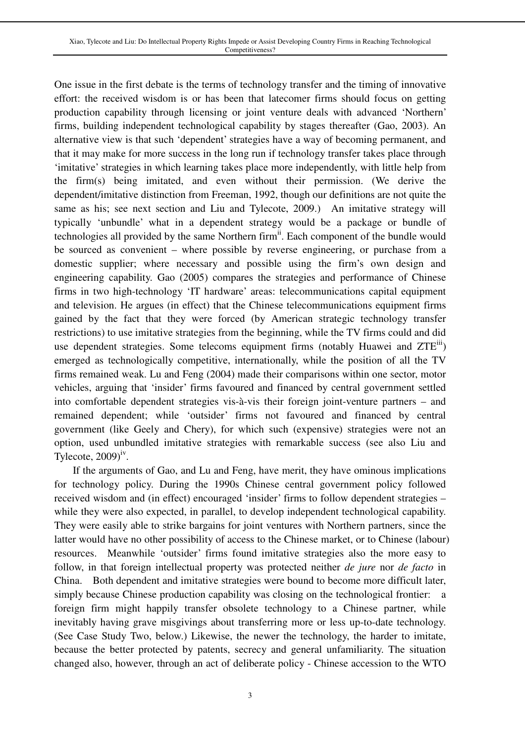One issue in the first debate is the terms of technology transfer and the timing of innovative effort: the received wisdom is or has been that latecomer firms should focus on getting production capability through licensing or joint venture deals with advanced 'Northern' firms, building independent technological capability by stages thereafter (Gao, 2003). An alternative view is that such 'dependent' strategies have a way of becoming permanent, and that it may make for more success in the long run if technology transfer takes place through 'imitative' strategies in which learning takes place more independently, with little help from the firm(s) being imitated, and even without their permission. (We derive the dependent/imitative distinction from Freeman, 1992, though our definitions are not quite the same as his; see next section and Liu and Tylecote, 2009.) An imitative strategy will typically 'unbundle' what in a dependent strategy would be a package or bundle of technologies all provided by the same Northern firm<sup>ii</sup>. Each component of the bundle would be sourced as convenient – where possible by reverse engineering, or purchase from a domestic supplier; where necessary and possible using the firm's own design and engineering capability. Gao (2005) compares the strategies and performance of Chinese firms in two high-technology 'IT hardware' areas: telecommunications capital equipment and television. He argues (in effect) that the Chinese telecommunications equipment firms gained by the fact that they were forced (by American strategic technology transfer restrictions) to use imitative strategies from the beginning, while the TV firms could and did use dependent strategies. Some telecoms equipment firms (notably Huawei and ZTE<sup>iii</sup>) emerged as technologically competitive, internationally, while the position of all the TV firms remained weak. Lu and Feng (2004) made their comparisons within one sector, motor vehicles, arguing that 'insider' firms favoured and financed by central government settled into comfortable dependent strategies vis-à-vis their foreign joint-venture partners – and remained dependent; while 'outsider' firms not favoured and financed by central government (like Geely and Chery), for which such (expensive) strategies were not an option, used unbundled imitative strategies with remarkable success (see also Liu and Tylecote,  $2009)$ <sup>iv</sup>.

 If the arguments of Gao, and Lu and Feng, have merit, they have ominous implications for technology policy. During the 1990s Chinese central government policy followed received wisdom and (in effect) encouraged 'insider' firms to follow dependent strategies – while they were also expected, in parallel, to develop independent technological capability. They were easily able to strike bargains for joint ventures with Northern partners, since the latter would have no other possibility of access to the Chinese market, or to Chinese (labour) resources. Meanwhile 'outsider' firms found imitative strategies also the more easy to follow, in that foreign intellectual property was protected neither *de jure* nor *de facto* in China. Both dependent and imitative strategies were bound to become more difficult later, simply because Chinese production capability was closing on the technological frontier: a foreign firm might happily transfer obsolete technology to a Chinese partner, while inevitably having grave misgivings about transferring more or less up-to-date technology. (See Case Study Two, below.) Likewise, the newer the technology, the harder to imitate, because the better protected by patents, secrecy and general unfamiliarity. The situation changed also, however, through an act of deliberate policy - Chinese accession to the WTO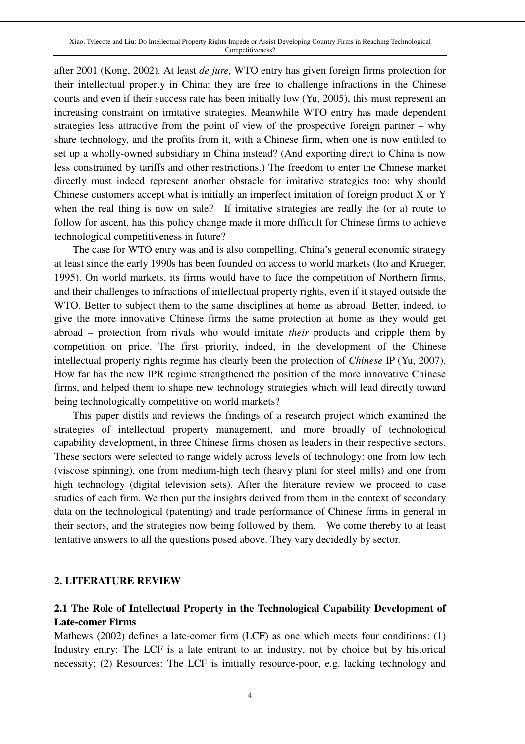after 2001 (Kong, 2002). At least *de jure,* WTO entry has given foreign firms protection for their intellectual property in China: they are free to challenge infractions in the Chinese courts and even if their success rate has been initially low (Yu, 2005), this must represent an increasing constraint on imitative strategies. Meanwhile WTO entry has made dependent strategies less attractive from the point of view of the prospective foreign partner – why share technology, and the profits from it, with a Chinese firm, when one is now entitled to set up a wholly-owned subsidiary in China instead? (And exporting direct to China is now less constrained by tariffs and other restrictions.) The freedom to enter the Chinese market directly must indeed represent another obstacle for imitative strategies too: why should Chinese customers accept what is initially an imperfect imitation of foreign product X or Y when the real thing is now on sale? If imitative strategies are really the (or a) route to follow for ascent, has this policy change made it more difficult for Chinese firms to achieve technological competitiveness in future?

 The case for WTO entry was and is also compelling. China's general economic strategy at least since the early 1990s has been founded on access to world markets (Ito and Krueger, 1995). On world markets, its firms would have to face the competition of Northern firms, and their challenges to infractions of intellectual property rights, even if it stayed outside the WTO. Better to subject them to the same disciplines at home as abroad. Better, indeed, to give the more innovative Chinese firms the same protection at home as they would get abroad – protection from rivals who would imitate *their* products and cripple them by competition on price. The first priority, indeed, in the development of the Chinese intellectual property rights regime has clearly been the protection of *Chinese* IP (Yu, 2007). How far has the new IPR regime strengthened the position of the more innovative Chinese firms, and helped them to shape new technology strategies which will lead directly toward being technologically competitive on world markets?

 This paper distils and reviews the findings of a research project which examined the strategies of intellectual property management, and more broadly of technological capability development, in three Chinese firms chosen as leaders in their respective sectors. These sectors were selected to range widely across levels of technology: one from low tech (viscose spinning), one from medium-high tech (heavy plant for steel mills) and one from high technology (digital television sets). After the literature review we proceed to case studies of each firm. We then put the insights derived from them in the context of secondary data on the technological (patenting) and trade performance of Chinese firms in general in their sectors, and the strategies now being followed by them. We come thereby to at least tentative answers to all the questions posed above. They vary decidedly by sector.

#### **2. LITERATURE REVIEW**

# **2.1 The Role of Intellectual Property in the Technological Capability Development of Late-comer Firms**

Mathews (2002) defines a late-comer firm (LCF) as one which meets four conditions: (1) Industry entry: The LCF is a late entrant to an industry, not by choice but by historical necessity; (2) Resources: The LCF is initially resource-poor, e.g. lacking technology and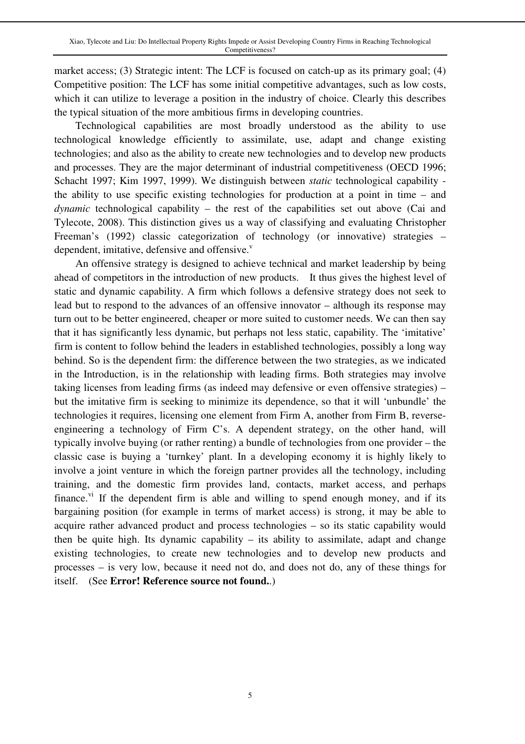market access; (3) Strategic intent: The LCF is focused on catch-up as its primary goal; (4) Competitive position: The LCF has some initial competitive advantages, such as low costs, which it can utilize to leverage a position in the industry of choice. Clearly this describes the typical situation of the more ambitious firms in developing countries.

Technological capabilities are most broadly understood as the ability to use technological knowledge efficiently to assimilate, use, adapt and change existing technologies; and also as the ability to create new technologies and to develop new products and processes. They are the major determinant of industrial competitiveness (OECD 1996; Schacht 1997; Kim 1997, 1999). We distinguish between *static* technological capability the ability to use specific existing technologies for production at a point in time – and *dynamic* technological capability – the rest of the capabilities set out above (Cai and Tylecote, 2008). This distinction gives us a way of classifying and evaluating Christopher Freeman's (1992) classic categorization of technology (or innovative) strategies – dependent, imitative, defensive and offensive.<sup>v</sup>

An offensive strategy is designed to achieve technical and market leadership by being ahead of competitors in the introduction of new products. It thus gives the highest level of static and dynamic capability. A firm which follows a defensive strategy does not seek to lead but to respond to the advances of an offensive innovator – although its response may turn out to be better engineered, cheaper or more suited to customer needs. We can then say that it has significantly less dynamic, but perhaps not less static, capability. The 'imitative' firm is content to follow behind the leaders in established technologies, possibly a long way behind. So is the dependent firm: the difference between the two strategies, as we indicated in the Introduction, is in the relationship with leading firms. Both strategies may involve taking licenses from leading firms (as indeed may defensive or even offensive strategies) – but the imitative firm is seeking to minimize its dependence, so that it will 'unbundle' the technologies it requires, licensing one element from Firm A, another from Firm B, reverseengineering a technology of Firm C's. A dependent strategy, on the other hand, will typically involve buying (or rather renting) a bundle of technologies from one provider – the classic case is buying a 'turnkey' plant. In a developing economy it is highly likely to involve a joint venture in which the foreign partner provides all the technology, including training, and the domestic firm provides land, contacts, market access, and perhaps finance.<sup>vi</sup> If the dependent firm is able and willing to spend enough money, and if its bargaining position (for example in terms of market access) is strong, it may be able to acquire rather advanced product and process technologies – so its static capability would then be quite high. Its dynamic capability – its ability to assimilate, adapt and change existing technologies, to create new technologies and to develop new products and processes – is very low, because it need not do, and does not do, any of these things for itself. (See **Error! Reference source not found.**.)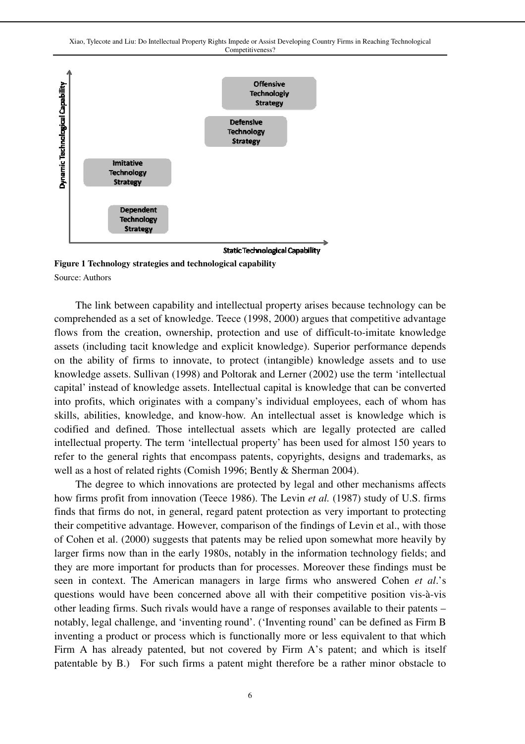Xiao, Tylecote and Liu: Do Intellectual Property Rights Impede or Assist Developing Country Firms in Reaching Technological Competitiveness?



**Figure 1 Technology strategies and technological capability**  Source: Authors

The link between capability and intellectual property arises because technology can be comprehended as a set of knowledge. Teece (1998, 2000) argues that competitive advantage flows from the creation, ownership, protection and use of difficult-to-imitate knowledge assets (including tacit knowledge and explicit knowledge). Superior performance depends on the ability of firms to innovate, to protect (intangible) knowledge assets and to use knowledge assets. Sullivan (1998) and Poltorak and Lerner (2002) use the term 'intellectual capital' instead of knowledge assets. Intellectual capital is knowledge that can be converted into profits, which originates with a company's individual employees, each of whom has skills, abilities, knowledge, and know-how. An intellectual asset is knowledge which is codified and defined. Those intellectual assets which are legally protected are called intellectual property. The term 'intellectual property' has been used for almost 150 years to refer to the general rights that encompass patents, copyrights, designs and trademarks, as well as a host of related rights (Comish 1996; Bently & Sherman 2004).

The degree to which innovations are protected by legal and other mechanisms affects how firms profit from innovation (Teece 1986). The Levin *et al.* (1987) study of U.S. firms finds that firms do not, in general, regard patent protection as very important to protecting their competitive advantage. However, comparison of the findings of Levin et al., with those of Cohen et al. (2000) suggests that patents may be relied upon somewhat more heavily by larger firms now than in the early 1980s, notably in the information technology fields; and they are more important for products than for processes. Moreover these findings must be seen in context. The American managers in large firms who answered Cohen *et al*.'s questions would have been concerned above all with their competitive position vis-à-vis other leading firms. Such rivals would have a range of responses available to their patents – notably, legal challenge, and 'inventing round'. ('Inventing round' can be defined as Firm B inventing a product or process which is functionally more or less equivalent to that which Firm A has already patented, but not covered by Firm A's patent; and which is itself patentable by B.) For such firms a patent might therefore be a rather minor obstacle to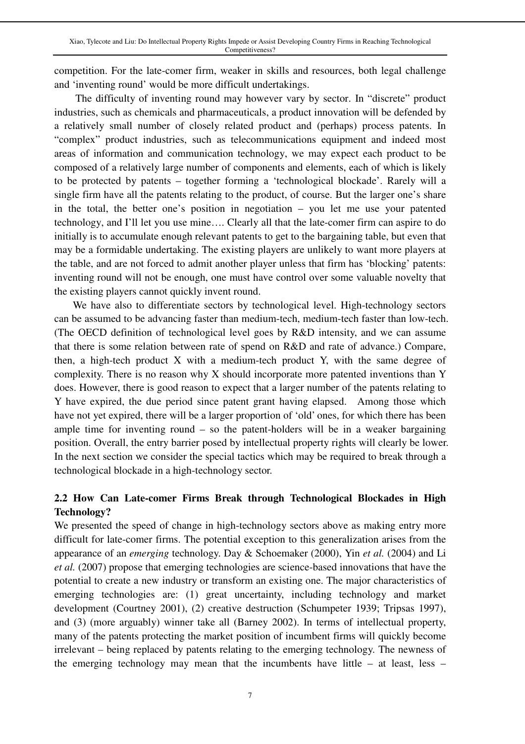competition. For the late-comer firm, weaker in skills and resources, both legal challenge and 'inventing round' would be more difficult undertakings.

The difficulty of inventing round may however vary by sector. In "discrete" product industries, such as chemicals and pharmaceuticals, a product innovation will be defended by a relatively small number of closely related product and (perhaps) process patents. In "complex" product industries, such as telecommunications equipment and indeed most areas of information and communication technology, we may expect each product to be composed of a relatively large number of components and elements, each of which is likely to be protected by patents – together forming a 'technological blockade'. Rarely will a single firm have all the patents relating to the product, of course. But the larger one's share in the total, the better one's position in negotiation – you let me use your patented technology, and I'll let you use mine…. Clearly all that the late-comer firm can aspire to do initially is to accumulate enough relevant patents to get to the bargaining table, but even that may be a formidable undertaking. The existing players are unlikely to want more players at the table, and are not forced to admit another player unless that firm has 'blocking' patents: inventing round will not be enough, one must have control over some valuable novelty that the existing players cannot quickly invent round.

 We have also to differentiate sectors by technological level. High-technology sectors can be assumed to be advancing faster than medium-tech, medium-tech faster than low-tech. (The OECD definition of technological level goes by R&D intensity, and we can assume that there is some relation between rate of spend on R&D and rate of advance.) Compare, then, a high-tech product X with a medium-tech product Y, with the same degree of complexity. There is no reason why X should incorporate more patented inventions than Y does. However, there is good reason to expect that a larger number of the patents relating to Y have expired, the due period since patent grant having elapsed. Among those which have not yet expired, there will be a larger proportion of 'old' ones, for which there has been ample time for inventing round  $-$  so the patent-holders will be in a weaker bargaining position. Overall, the entry barrier posed by intellectual property rights will clearly be lower. In the next section we consider the special tactics which may be required to break through a technological blockade in a high-technology sector.

# **2.2 How Can Late-comer Firms Break through Technological Blockades in High Technology?**

We presented the speed of change in high-technology sectors above as making entry more difficult for late-comer firms. The potential exception to this generalization arises from the appearance of an *emerging* technology. Day & Schoemaker (2000), Yin *et al.* (2004) and Li *et al.* (2007) propose that emerging technologies are science-based innovations that have the potential to create a new industry or transform an existing one. The major characteristics of emerging technologies are: (1) great uncertainty, including technology and market development (Courtney 2001), (2) creative destruction (Schumpeter 1939; Tripsas 1997), and (3) (more arguably) winner take all (Barney 2002). In terms of intellectual property, many of the patents protecting the market position of incumbent firms will quickly become irrelevant – being replaced by patents relating to the emerging technology. The newness of the emerging technology may mean that the incumbents have little  $-$  at least, less  $-$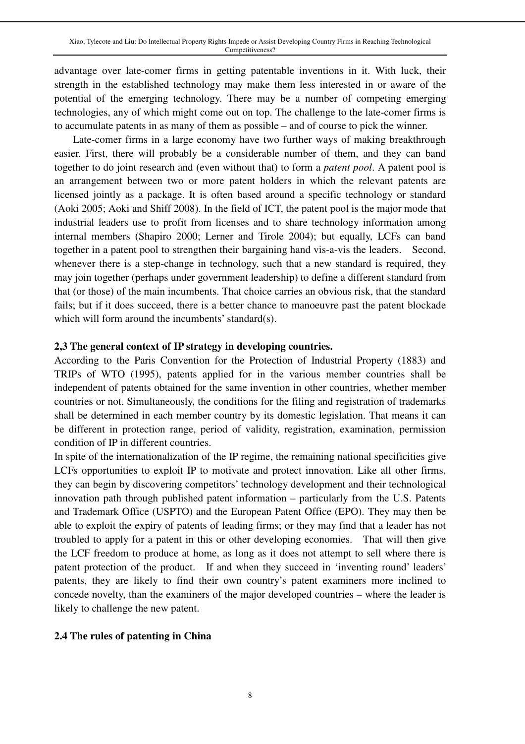advantage over late-comer firms in getting patentable inventions in it. With luck, their strength in the established technology may make them less interested in or aware of the potential of the emerging technology. There may be a number of competing emerging technologies, any of which might come out on top. The challenge to the late-comer firms is to accumulate patents in as many of them as possible – and of course to pick the winner.

 Late-comer firms in a large economy have two further ways of making breakthrough easier. First, there will probably be a considerable number of them, and they can band together to do joint research and (even without that) to form a *patent pool*. A patent pool is an arrangement between two or more patent holders in which the relevant patents are licensed jointly as a package. It is often based around a specific technology or standard (Aoki 2005; Aoki and Shiff 2008). In the field of ICT, the patent pool is the major mode that industrial leaders use to profit from licenses and to share technology information among internal members (Shapiro 2000; Lerner and Tirole 2004); but equally, LCFs can band together in a patent pool to strengthen their bargaining hand vis-a-vis the leaders. Second, whenever there is a step-change in technology, such that a new standard is required, they may join together (perhaps under government leadership) to define a different standard from that (or those) of the main incumbents. That choice carries an obvious risk, that the standard fails; but if it does succeed, there is a better chance to manoeuvre past the patent blockade which will form around the incumbents' standard(s).

### **2,3 The general context of IP strategy in developing countries.**

According to the Paris Convention for the Protection of Industrial Property (1883) and TRIPs of WTO (1995), patents applied for in the various member countries shall be independent of patents obtained for the same invention in other countries, whether member countries or not. Simultaneously, the conditions for the filing and registration of trademarks shall be determined in each member country by its domestic legislation. That means it can be different in protection range, period of validity, registration, examination, permission condition of IP in different countries.

In spite of the internationalization of the IP regime, the remaining national specificities give LCFs opportunities to exploit IP to motivate and protect innovation. Like all other firms, they can begin by discovering competitors' technology development and their technological innovation path through published patent information – particularly from the U.S. Patents and Trademark Office (USPTO) and the European Patent Office (EPO). They may then be able to exploit the expiry of patents of leading firms; or they may find that a leader has not troubled to apply for a patent in this or other developing economies. That will then give the LCF freedom to produce at home, as long as it does not attempt to sell where there is patent protection of the product. If and when they succeed in 'inventing round' leaders' patents, they are likely to find their own country's patent examiners more inclined to concede novelty, than the examiners of the major developed countries – where the leader is likely to challenge the new patent.

### **2.4 The rules of patenting in China**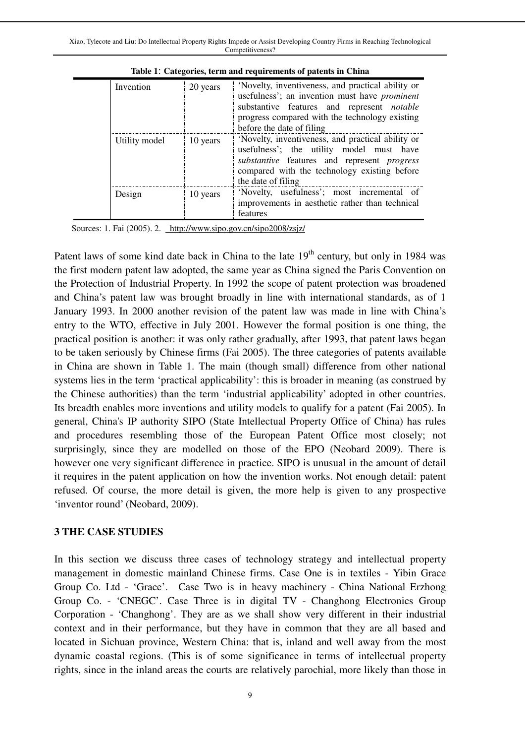| Invention     | 20 years | 'Novelty, inventiveness, and practical ability or<br>usefulness'; an invention must have <i>prominent</i><br>substantive features and represent notable<br>progress compared with the technology existing<br>before the date of filing |
|---------------|----------|----------------------------------------------------------------------------------------------------------------------------------------------------------------------------------------------------------------------------------------|
| Utility model | 10 years | 'Novelty, inventiveness, and practical ability or<br>usefulness'; the utility model must have<br>substantive features and represent <i>progress</i><br>compared with the technology existing before<br>the date of filing              |
| Design        | 10 years | 'Novelty, usefulness'; most incremental of<br>improvements in aesthetic rather than technical<br>features                                                                                                                              |

**Table 1**: **Categories, term and requirements of patents in China** 

Sources: 1. Fai (2005). 2. http://www.sipo.gov.cn/sipo2008/zsjz/

Patent laws of some kind date back in China to the late 19<sup>th</sup> century, but only in 1984 was the first modern patent law adopted, the same year as China signed the Paris Convention on the Protection of Industrial Property. In 1992 the scope of patent protection was broadened and China's patent law was brought broadly in line with international standards, as of 1 January 1993. In 2000 another revision of the patent law was made in line with China's entry to the WTO, effective in July 2001. However the formal position is one thing, the practical position is another: it was only rather gradually, after 1993, that patent laws began to be taken seriously by Chinese firms (Fai 2005). The three categories of patents available in China are shown in Table 1. The main (though small) difference from other national systems lies in the term 'practical applicability': this is broader in meaning (as construed by the Chinese authorities) than the term 'industrial applicability' adopted in other countries. Its breadth enables more inventions and utility models to qualify for a patent (Fai 2005). In general, China's IP authority SIPO (State Intellectual Property Office of China) has rules and procedures resembling those of the European Patent Office most closely; not surprisingly, since they are modelled on those of the EPO (Neobard 2009). There is however one very significant difference in practice. SIPO is unusual in the amount of detail it requires in the patent application on how the invention works. Not enough detail: patent refused. Of course, the more detail is given, the more help is given to any prospective 'inventor round' (Neobard, 2009).

### **3 THE CASE STUDIES**

In this section we discuss three cases of technology strategy and intellectual property management in domestic mainland Chinese firms. Case One is in textiles - Yibin Grace Group Co. Ltd - 'Grace'. Case Two is in heavy machinery - China National Erzhong Group Co. - 'CNEGC'. Case Three is in digital TV - Changhong Electronics Group Corporation - 'Changhong'. They are as we shall show very different in their industrial context and in their performance, but they have in common that they are all based and located in Sichuan province, Western China: that is, inland and well away from the most dynamic coastal regions. (This is of some significance in terms of intellectual property rights, since in the inland areas the courts are relatively parochial, more likely than those in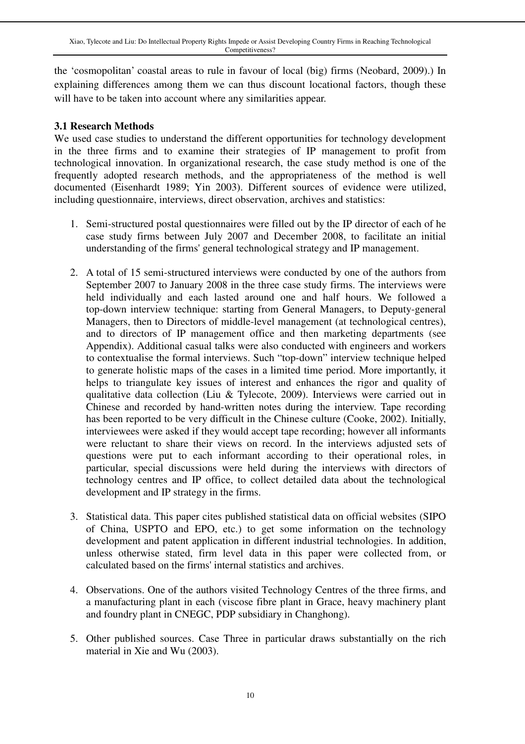the 'cosmopolitan' coastal areas to rule in favour of local (big) firms (Neobard, 2009).) In explaining differences among them we can thus discount locational factors, though these will have to be taken into account where any similarities appear.

### **3.1 Research Methods**

We used case studies to understand the different opportunities for technology development in the three firms and to examine their strategies of IP management to profit from technological innovation. In organizational research, the case study method is one of the frequently adopted research methods, and the appropriateness of the method is well documented (Eisenhardt 1989; Yin 2003). Different sources of evidence were utilized, including questionnaire, interviews, direct observation, archives and statistics:

- 1. Semi-structured postal questionnaires were filled out by the IP director of each of he case study firms between July 2007 and December 2008, to facilitate an initial understanding of the firms' general technological strategy and IP management.
- 2. A total of 15 semi-structured interviews were conducted by one of the authors from September 2007 to January 2008 in the three case study firms. The interviews were held individually and each lasted around one and half hours. We followed a top-down interview technique: starting from General Managers, to Deputy-general Managers, then to Directors of middle-level management (at technological centres), and to directors of IP management office and then marketing departments (see Appendix). Additional casual talks were also conducted with engineers and workers to contextualise the formal interviews. Such "top-down" interview technique helped to generate holistic maps of the cases in a limited time period. More importantly, it helps to triangulate key issues of interest and enhances the rigor and quality of qualitative data collection (Liu & Tylecote, 2009). Interviews were carried out in Chinese and recorded by hand-written notes during the interview. Tape recording has been reported to be very difficult in the Chinese culture (Cooke, 2002). Initially, interviewees were asked if they would accept tape recording; however all informants were reluctant to share their views on record. In the interviews adjusted sets of questions were put to each informant according to their operational roles, in particular, special discussions were held during the interviews with directors of technology centres and IP office, to collect detailed data about the technological development and IP strategy in the firms.
- 3. Statistical data. This paper cites published statistical data on official websites (SIPO of China, USPTO and EPO, etc.) to get some information on the technology development and patent application in different industrial technologies. In addition, unless otherwise stated, firm level data in this paper were collected from, or calculated based on the firms' internal statistics and archives.
- 4. Observations. One of the authors visited Technology Centres of the three firms, and a manufacturing plant in each (viscose fibre plant in Grace, heavy machinery plant and foundry plant in CNEGC, PDP subsidiary in Changhong).
- 5. Other published sources. Case Three in particular draws substantially on the rich material in Xie and Wu (2003).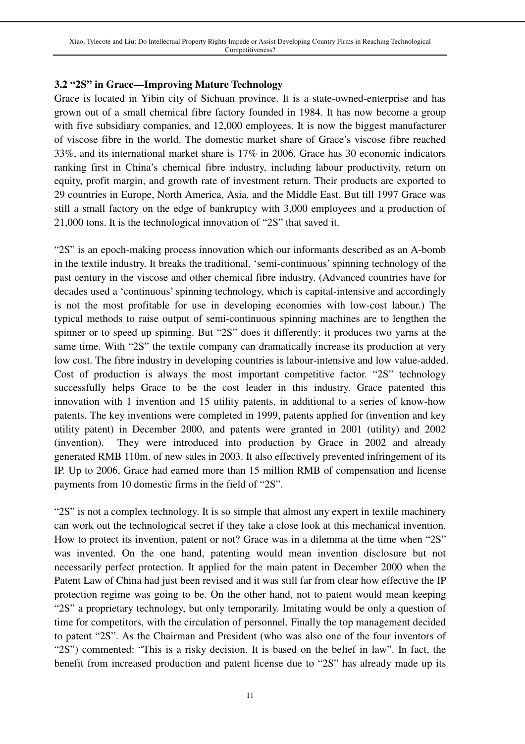## **3.2 "2S" in Grace—Improving Mature Technology**

Grace is located in Yibin city of Sichuan province. It is a state-owned-enterprise and has grown out of a small chemical fibre factory founded in 1984. It has now become a group with five subsidiary companies, and 12,000 employees. It is now the biggest manufacturer of viscose fibre in the world. The domestic market share of Grace's viscose fibre reached 33%, and its international market share is 17% in 2006. Grace has 30 economic indicators ranking first in China's chemical fibre industry, including labour productivity, return on equity, profit margin, and growth rate of investment return. Their products are exported to 29 countries in Europe, North America, Asia, and the Middle East. But till 1997 Grace was still a small factory on the edge of bankruptcy with 3,000 employees and a production of 21,000 tons. It is the technological innovation of "2S" that saved it.

"2S" is an epoch-making process innovation which our informants described as an A-bomb in the textile industry. It breaks the traditional, 'semi-continuous' spinning technology of the past century in the viscose and other chemical fibre industry. (Advanced countries have for decades used a 'continuous' spinning technology, which is capital-intensive and accordingly is not the most profitable for use in developing economies with low-cost labour.) The typical methods to raise output of semi-continuous spinning machines are to lengthen the spinner or to speed up spinning. But "2S" does it differently: it produces two yarns at the same time. With "2S" the textile company can dramatically increase its production at very low cost. The fibre industry in developing countries is labour-intensive and low value-added. Cost of production is always the most important competitive factor. "2S" technology successfully helps Grace to be the cost leader in this industry. Grace patented this innovation with 1 invention and 15 utility patents, in additional to a series of know-how patents. The key inventions were completed in 1999, patents applied for (invention and key utility patent) in December 2000, and patents were granted in 2001 (utility) and 2002 (invention). They were introduced into production by Grace in 2002 and already generated RMB 110m. of new sales in 2003. It also effectively prevented infringement of its IP. Up to 2006, Grace had earned more than 15 million RMB of compensation and license payments from 10 domestic firms in the field of "2S".

"2S" is not a complex technology. It is so simple that almost any expert in textile machinery can work out the technological secret if they take a close look at this mechanical invention. How to protect its invention, patent or not? Grace was in a dilemma at the time when "2S" was invented. On the one hand, patenting would mean invention disclosure but not necessarily perfect protection. It applied for the main patent in December 2000 when the Patent Law of China had just been revised and it was still far from clear how effective the IP protection regime was going to be. On the other hand, not to patent would mean keeping "2S" a proprietary technology, but only temporarily. Imitating would be only a question of time for competitors, with the circulation of personnel. Finally the top management decided to patent "2S". As the Chairman and President (who was also one of the four inventors of "2S") commented: "This is a risky decision. It is based on the belief in law". In fact, the benefit from increased production and patent license due to "2S" has already made up its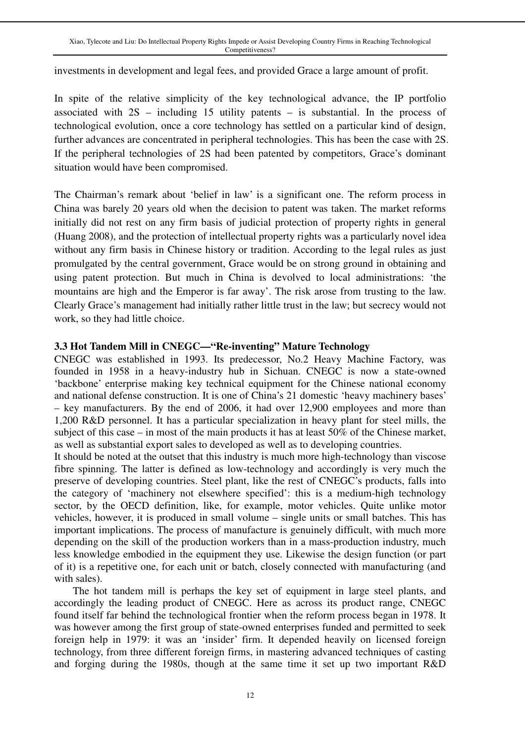investments in development and legal fees, and provided Grace a large amount of profit.

In spite of the relative simplicity of the key technological advance, the IP portfolio associated with  $2S$  – including 15 utility patents – is substantial. In the process of technological evolution, once a core technology has settled on a particular kind of design, further advances are concentrated in peripheral technologies. This has been the case with 2S. If the peripheral technologies of 2S had been patented by competitors, Grace's dominant situation would have been compromised.

The Chairman's remark about 'belief in law' is a significant one. The reform process in China was barely 20 years old when the decision to patent was taken. The market reforms initially did not rest on any firm basis of judicial protection of property rights in general (Huang 2008), and the protection of intellectual property rights was a particularly novel idea without any firm basis in Chinese history or tradition. According to the legal rules as just promulgated by the central government, Grace would be on strong ground in obtaining and using patent protection. But much in China is devolved to local administrations: 'the mountains are high and the Emperor is far away'. The risk arose from trusting to the law. Clearly Grace's management had initially rather little trust in the law; but secrecy would not work, so they had little choice.

### **3.3 Hot Tandem Mill in CNEGC—"Re-inventing" Mature Technology**

CNEGC was established in 1993. Its predecessor, No.2 Heavy Machine Factory, was founded in 1958 in a heavy-industry hub in Sichuan. CNEGC is now a state-owned 'backbone' enterprise making key technical equipment for the Chinese national economy and national defense construction. It is one of China's 21 domestic 'heavy machinery bases' – key manufacturers. By the end of 2006, it had over 12,900 employees and more than 1,200 R&D personnel. It has a particular specialization in heavy plant for steel mills, the subject of this case – in most of the main products it has at least 50% of the Chinese market, as well as substantial export sales to developed as well as to developing countries.

It should be noted at the outset that this industry is much more high-technology than viscose fibre spinning. The latter is defined as low-technology and accordingly is very much the preserve of developing countries. Steel plant, like the rest of CNEGC's products, falls into the category of 'machinery not elsewhere specified': this is a medium-high technology sector, by the OECD definition, like, for example, motor vehicles. Quite unlike motor vehicles, however, it is produced in small volume – single units or small batches. This has important implications. The process of manufacture is genuinely difficult, with much more depending on the skill of the production workers than in a mass-production industry, much less knowledge embodied in the equipment they use. Likewise the design function (or part of it) is a repetitive one, for each unit or batch, closely connected with manufacturing (and with sales).

 The hot tandem mill is perhaps the key set of equipment in large steel plants, and accordingly the leading product of CNEGC. Here as across its product range, CNEGC found itself far behind the technological frontier when the reform process began in 1978. It was however among the first group of state-owned enterprises funded and permitted to seek foreign help in 1979: it was an 'insider' firm. It depended heavily on licensed foreign technology, from three different foreign firms, in mastering advanced techniques of casting and forging during the 1980s, though at the same time it set up two important R&D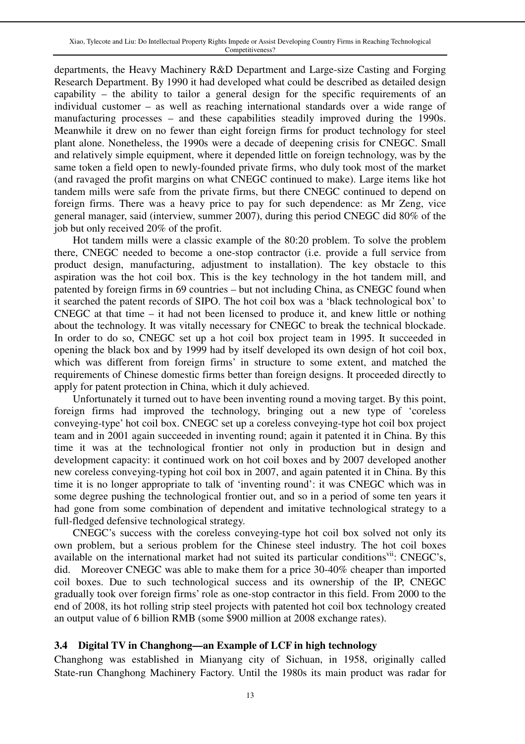departments, the Heavy Machinery R&D Department and Large-size Casting and Forging Research Department. By 1990 it had developed what could be described as detailed design capability – the ability to tailor a general design for the specific requirements of an individual customer – as well as reaching international standards over a wide range of manufacturing processes – and these capabilities steadily improved during the 1990s. Meanwhile it drew on no fewer than eight foreign firms for product technology for steel plant alone. Nonetheless, the 1990s were a decade of deepening crisis for CNEGC. Small and relatively simple equipment, where it depended little on foreign technology, was by the same token a field open to newly-founded private firms, who duly took most of the market (and ravaged the profit margins on what CNEGC continued to make). Large items like hot tandem mills were safe from the private firms, but there CNEGC continued to depend on foreign firms. There was a heavy price to pay for such dependence: as Mr Zeng, vice general manager, said (interview, summer 2007), during this period CNEGC did 80% of the job but only received 20% of the profit.

 Hot tandem mills were a classic example of the 80:20 problem. To solve the problem there, CNEGC needed to become a one-stop contractor (i.e. provide a full service from product design, manufacturing, adjustment to installation). The key obstacle to this aspiration was the hot coil box. This is the key technology in the hot tandem mill, and patented by foreign firms in 69 countries – but not including China, as CNEGC found when it searched the patent records of SIPO. The hot coil box was a 'black technological box' to CNEGC at that time – it had not been licensed to produce it, and knew little or nothing about the technology. It was vitally necessary for CNEGC to break the technical blockade. In order to do so, CNEGC set up a hot coil box project team in 1995. It succeeded in opening the black box and by 1999 had by itself developed its own design of hot coil box, which was different from foreign firms' in structure to some extent, and matched the requirements of Chinese domestic firms better than foreign designs. It proceeded directly to apply for patent protection in China, which it duly achieved.

 Unfortunately it turned out to have been inventing round a moving target. By this point, foreign firms had improved the technology, bringing out a new type of 'coreless conveying-type' hot coil box. CNEGC set up a coreless conveying-type hot coil box project team and in 2001 again succeeded in inventing round; again it patented it in China. By this time it was at the technological frontier not only in production but in design and development capacity: it continued work on hot coil boxes and by 2007 developed another new coreless conveying-typing hot coil box in 2007, and again patented it in China. By this time it is no longer appropriate to talk of 'inventing round': it was CNEGC which was in some degree pushing the technological frontier out, and so in a period of some ten years it had gone from some combination of dependent and imitative technological strategy to a full-fledged defensive technological strategy.

 CNEGC's success with the coreless conveying-type hot coil box solved not only its own problem, but a serious problem for the Chinese steel industry. The hot coil boxes available on the international market had not suited its particular conditions<sup>vii</sup>: CNEGC's, did. Moreover CNEGC was able to make them for a price 30-40% cheaper than imported coil boxes. Due to such technological success and its ownership of the IP, CNEGC gradually took over foreign firms' role as one-stop contractor in this field. From 2000 to the end of 2008, its hot rolling strip steel projects with patented hot coil box technology created an output value of 6 billion RMB (some \$900 million at 2008 exchange rates).

### **3.4 Digital TV in Changhong—an Example of LCF in high technology**

Changhong was established in Mianyang city of Sichuan, in 1958, originally called State-run Changhong Machinery Factory. Until the 1980s its main product was radar for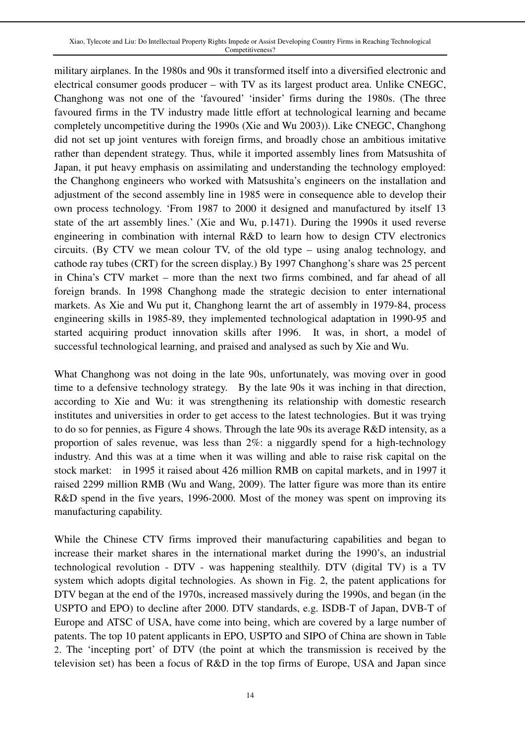military airplanes. In the 1980s and 90s it transformed itself into a diversified electronic and electrical consumer goods producer – with TV as its largest product area. Unlike CNEGC, Changhong was not one of the 'favoured' 'insider' firms during the 1980s. (The three favoured firms in the TV industry made little effort at technological learning and became completely uncompetitive during the 1990s (Xie and Wu 2003)). Like CNEGC, Changhong did not set up joint ventures with foreign firms, and broadly chose an ambitious imitative rather than dependent strategy. Thus, while it imported assembly lines from Matsushita of Japan, it put heavy emphasis on assimilating and understanding the technology employed: the Changhong engineers who worked with Matsushita's engineers on the installation and adjustment of the second assembly line in 1985 were in consequence able to develop their own process technology. 'From 1987 to 2000 it designed and manufactured by itself 13 state of the art assembly lines.' (Xie and Wu, p.1471). During the 1990s it used reverse engineering in combination with internal R&D to learn how to design CTV electronics circuits. (By CTV we mean colour TV, of the old type – using analog technology, and cathode ray tubes (CRT) for the screen display.) By 1997 Changhong's share was 25 percent in China's CTV market – more than the next two firms combined, and far ahead of all foreign brands. In 1998 Changhong made the strategic decision to enter international markets. As Xie and Wu put it, Changhong learnt the art of assembly in 1979-84, process engineering skills in 1985-89, they implemented technological adaptation in 1990-95 and started acquiring product innovation skills after 1996. It was, in short, a model of successful technological learning, and praised and analysed as such by Xie and Wu.

What Changhong was not doing in the late 90s, unfortunately, was moving over in good time to a defensive technology strategy. By the late 90s it was inching in that direction, according to Xie and Wu: it was strengthening its relationship with domestic research institutes and universities in order to get access to the latest technologies. But it was trying to do so for pennies, as Figure 4 shows. Through the late 90s its average R&D intensity, as a proportion of sales revenue, was less than  $2\%$ : a niggardly spend for a high-technology industry. And this was at a time when it was willing and able to raise risk capital on the stock market: in 1995 it raised about 426 million RMB on capital markets, and in 1997 it raised 2299 million RMB (Wu and Wang, 2009). The latter figure was more than its entire R&D spend in the five years, 1996-2000. Most of the money was spent on improving its manufacturing capability.

While the Chinese CTV firms improved their manufacturing capabilities and began to increase their market shares in the international market during the 1990's, an industrial technological revolution - DTV - was happening stealthily. DTV (digital TV) is a TV system which adopts digital technologies. As shown in Fig. 2, the patent applications for DTV began at the end of the 1970s, increased massively during the 1990s, and began (in the USPTO and EPO) to decline after 2000. DTV standards, e.g. ISDB-T of Japan, DVB-T of Europe and ATSC of USA, have come into being, which are covered by a large number of patents. The top 10 patent applicants in EPO, USPTO and SIPO of China are shown in Table 2. The 'incepting port' of DTV (the point at which the transmission is received by the television set) has been a focus of R&D in the top firms of Europe, USA and Japan since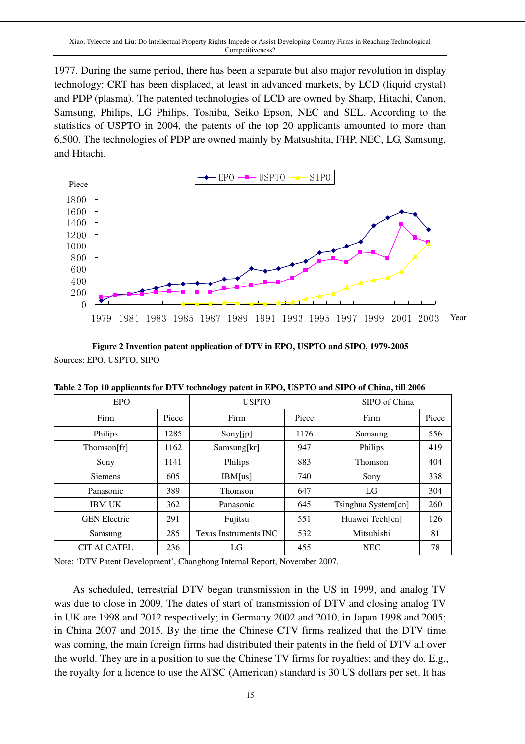1977. During the same period, there has been a separate but also major revolution in display technology: CRT has been displaced, at least in advanced markets, by LCD (liquid crystal) and PDP (plasma). The patented technologies of LCD are owned by Sharp, Hitachi, Canon, Samsung, Philips, LG Philips, Toshiba, Seiko Epson, NEC and SEL. According to the statistics of USPTO in 2004, the patents of the top 20 applicants amounted to more than 6,500. The technologies of PDP are owned mainly by Matsushita, FHP, NEC, LG, Samsung, and Hitachi.



**Figure 2 Invention patent application of DTV in EPO, USPTO and SIPO, 1979-2005**  Sources: EPO, USPTO, SIPO

| Table 2 Top 10 applicants for DTV technology patent in EPO, USPTO and SIPO of China, till 2006 |  |  |
|------------------------------------------------------------------------------------------------|--|--|
|------------------------------------------------------------------------------------------------|--|--|

| EPO                 |       | <b>USPTO</b>          |       | SIPO of China       |       |
|---------------------|-------|-----------------------|-------|---------------------|-------|
| Firm                | Piece | Firm                  | Piece | Firm                | Piece |
| Philips             | 1285  | Sony[jp]              | 1176  | Samsung             | 556   |
| Thomson[fr]         | 1162  | Samsung[kr]           | 947   | Philips             | 419   |
| Sony                | 1141  | Philips               | 883   | Thomson             | 404   |
| <b>Siemens</b>      | 605   | IBM[us]               | 740   | Sony                | 338   |
| Panasonic           | 389   | Thomson               | 647   | LG                  | 304   |
| <b>IBM UK</b>       | 362   | Panasonic             | 645   | Tsinghua System[cn] | 260   |
| <b>GEN Electric</b> | 291   | Fujitsu               | 551   | Huawei Tech[cn]     | 126   |
| Samsung             | 285   | Texas Instruments INC | 532   | Mitsubishi          | 81    |
| <b>CIT ALCATEL</b>  | 236   | LG                    | 455   | <b>NEC</b>          | 78    |

Note: 'DTV Patent Development', Changhong Internal Report, November 2007.

 As scheduled, terrestrial DTV began transmission in the US in 1999, and analog TV was due to close in 2009. The dates of start of transmission of DTV and closing analog TV in UK are 1998 and 2012 respectively; in Germany 2002 and 2010, in Japan 1998 and 2005; in China 2007 and 2015. By the time the Chinese CTV firms realized that the DTV time was coming, the main foreign firms had distributed their patents in the field of DTV all over the world. They are in a position to sue the Chinese TV firms for royalties; and they do. E.g., the royalty for a licence to use the ATSC (American) standard is 30 US dollars per set. It has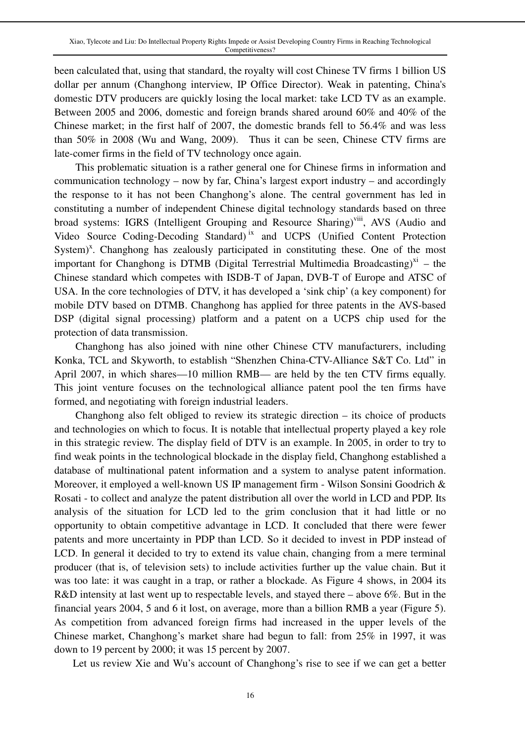been calculated that, using that standard, the royalty will cost Chinese TV firms 1 billion US dollar per annum (Changhong interview, IP Office Director). Weak in patenting, China's domestic DTV producers are quickly losing the local market: take LCD TV as an example. Between 2005 and 2006, domestic and foreign brands shared around 60% and 40% of the Chinese market; in the first half of 2007, the domestic brands fell to 56.4% and was less than 50% in 2008 (Wu and Wang, 2009). Thus it can be seen, Chinese CTV firms are late-comer firms in the field of TV technology once again.

This problematic situation is a rather general one for Chinese firms in information and communication technology – now by far, China's largest export industry – and accordingly the response to it has not been Changhong's alone. The central government has led in constituting a number of independent Chinese digital technology standards based on three broad systems: IGRS (Intelligent Grouping and Resource Sharing)<sup>viii</sup>, AVS (Audio and Video Source Coding-Decoding Standard) <sup>ix</sup> and UCPS (Unified Content Protection System)<sup>x</sup>. Changhong has zealously participated in constituting these. One of the most important for Changhong is DTMB (Digital Terrestrial Multimedia Broadcasting)<sup>x1</sup> – the Chinese standard which competes with ISDB-T of Japan, DVB-T of Europe and ATSC of USA. In the core technologies of DTV, it has developed a 'sink chip' (a key component) for mobile DTV based on DTMB. Changhong has applied for three patents in the AVS-based DSP (digital signal processing) platform and a patent on a UCPS chip used for the protection of data transmission.

Changhong has also joined with nine other Chinese CTV manufacturers, including Konka, TCL and Skyworth, to establish "Shenzhen China-CTV-Alliance S&T Co. Ltd" in April 2007, in which shares—10 million RMB— are held by the ten CTV firms equally. This joint venture focuses on the technological alliance patent pool the ten firms have formed, and negotiating with foreign industrial leaders.

Changhong also felt obliged to review its strategic direction – its choice of products and technologies on which to focus. It is notable that intellectual property played a key role in this strategic review. The display field of DTV is an example. In 2005, in order to try to find weak points in the technological blockade in the display field, Changhong established a database of multinational patent information and a system to analyse patent information. Moreover, it employed a well-known US IP management firm - Wilson Sonsini Goodrich & Rosati - to collect and analyze the patent distribution all over the world in LCD and PDP. Its analysis of the situation for LCD led to the grim conclusion that it had little or no opportunity to obtain competitive advantage in LCD. It concluded that there were fewer patents and more uncertainty in PDP than LCD. So it decided to invest in PDP instead of LCD. In general it decided to try to extend its value chain, changing from a mere terminal producer (that is, of television sets) to include activities further up the value chain. But it was too late: it was caught in a trap, or rather a blockade. As Figure 4 shows, in 2004 its R&D intensity at last went up to respectable levels, and stayed there – above 6%. But in the financial years 2004, 5 and 6 it lost, on average, more than a billion RMB a year (Figure 5). As competition from advanced foreign firms had increased in the upper levels of the Chinese market, Changhong's market share had begun to fall: from 25% in 1997, it was down to 19 percent by 2000; it was 15 percent by 2007.

Let us review Xie and Wu's account of Changhong's rise to see if we can get a better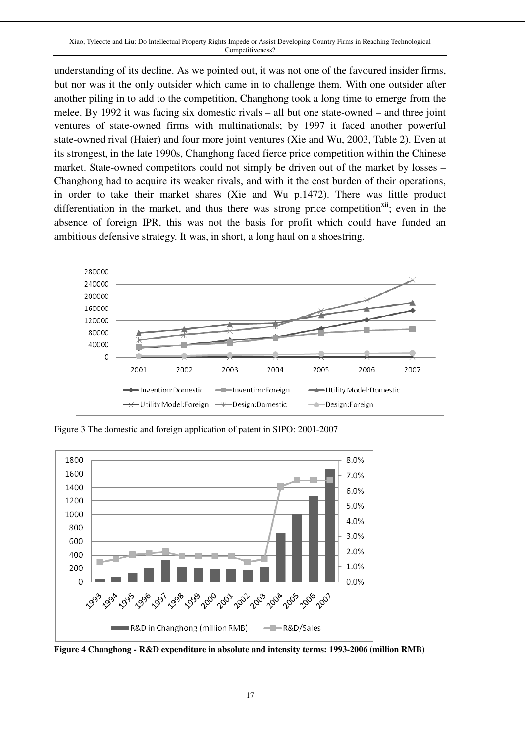understanding of its decline. As we pointed out, it was not one of the favoured insider firms, but nor was it the only outsider which came in to challenge them. With one outsider after another piling in to add to the competition, Changhong took a long time to emerge from the melee. By 1992 it was facing six domestic rivals – all but one state-owned – and three joint ventures of state-owned firms with multinationals; by 1997 it faced another powerful state-owned rival (Haier) and four more joint ventures (Xie and Wu, 2003, Table 2). Even at its strongest, in the late 1990s, Changhong faced fierce price competition within the Chinese market. State-owned competitors could not simply be driven out of the market by losses – Changhong had to acquire its weaker rivals, and with it the cost burden of their operations, in order to take their market shares (Xie and Wu p.1472). There was little product differentiation in the market, and thus there was strong price competition<sup> $xi$ ii</sup>; even in the absence of foreign IPR, this was not the basis for profit which could have funded an ambitious defensive strategy. It was, in short, a long haul on a shoestring.



Figure 3 The domestic and foreign application of patent in SIPO: 2001-2007



**Figure 4 Changhong - R&D expenditure in absolute and intensity terms: 1993-2006 (million RMB)**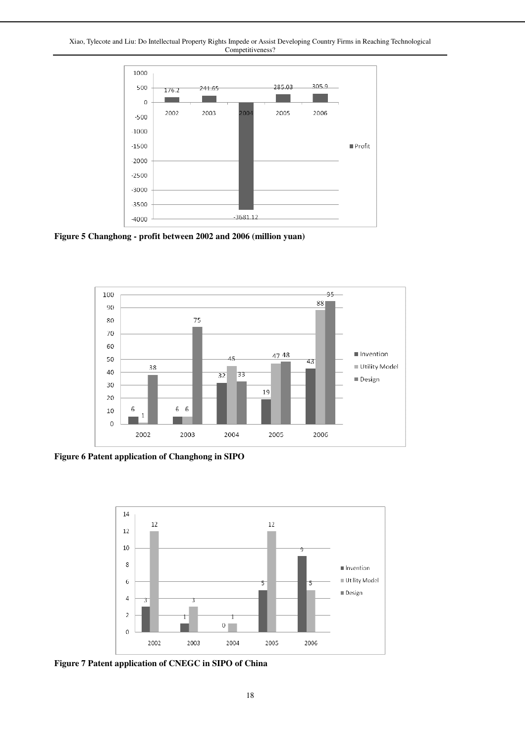Xiao, Tylecote and Liu: Do Intellectual Property Rights Impede or Assist Developing Country Firms in Reaching Technological Competitiveness?



**Figure 5 Changhong - profit between 2002 and 2006 (million yuan)** 



**Figure 6 Patent application of Changhong in SIPO** 



**Figure 7 Patent application of CNEGC in SIPO of China**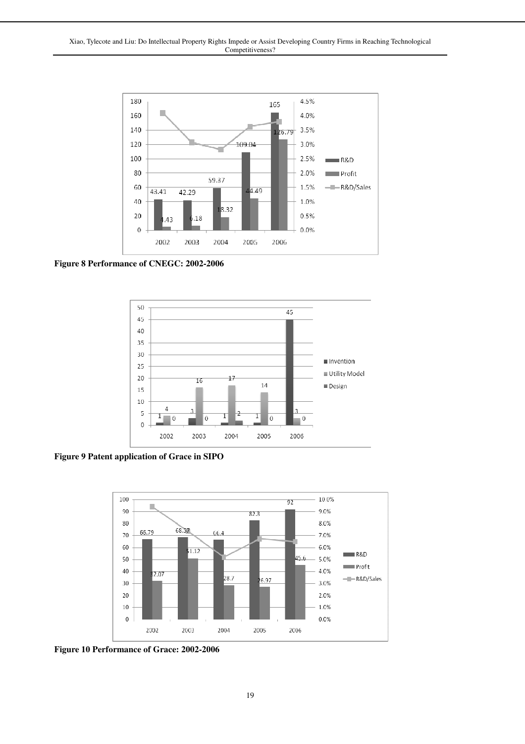

**Figure 8 Performance of CNEGC: 2002-2006**



**Figure 9 Patent application of Grace in SIPO**



**Figure 10 Performance of Grace: 2002-2006**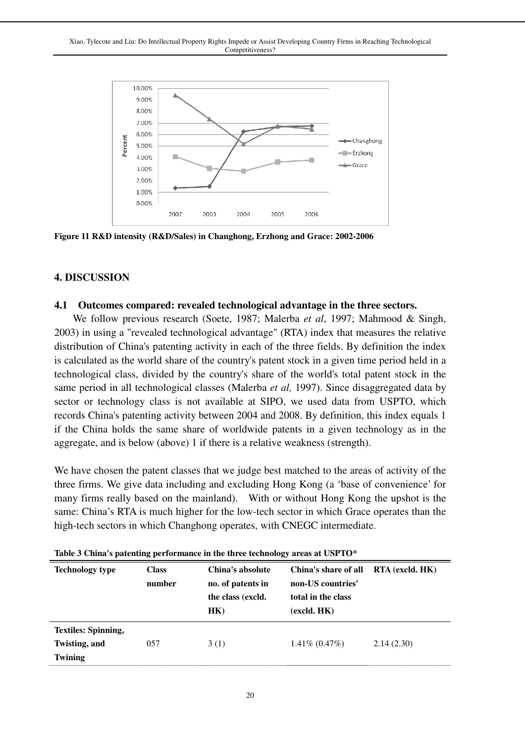

**Figure 11 R&D intensity (R&D/Sales) in Changhong, Erzhong and Grace: 2002-2006** 

### **4. DISCUSSION**

#### **4.1 Outcomes compared: revealed technological advantage in the three sectors.**

 We follow previous research (Soete, 1987; Malerba *et al*, 1997; Mahmood & Singh, 2003) in using a "revealed technological advantage" (RTA) index that measures the relative distribution of China's patenting activity in each of the three fields. By definition the index is calculated as the world share of the country's patent stock in a given time period held in a technological class, divided by the country's share of the world's total patent stock in the same period in all technological classes (Malerba *et al,* 1997). Since disaggregated data by sector or technology class is not available at SIPO, we used data from USPTO, which records China's patenting activity between 2004 and 2008. By definition, this index equals 1 if the China holds the same share of worldwide patents in a given technology as in the aggregate, and is below (above) 1 if there is a relative weakness (strength).

We have chosen the patent classes that we judge best matched to the areas of activity of the three firms. We give data including and excluding Hong Kong (a 'base of convenience' for many firms really based on the mainland). With or without Hong Kong the upshot is the same: China's RTA is much higher for the low-tech sector in which Grace operates than the high-tech sectors in which Changhong operates, with CNEGC intermediate.

| <b>Technology type</b>                                        | <b>Class</b><br>number | China's absolute<br>no. of patents in<br>the class (excld.<br>HK) | China's share of all<br>non-US countries'<br>total in the class<br>(excld. HK) | RTA (excld. HK) |
|---------------------------------------------------------------|------------------------|-------------------------------------------------------------------|--------------------------------------------------------------------------------|-----------------|
| <b>Textiles: Spinning,</b><br>Twisting, and<br><b>Twining</b> | 057                    | 3(1)                                                              | $1.41\% (0.47\%)$                                                              | 2.14(2.30)      |

|  |  |  | Table 3 China's patenting performance in the three technology areas at USPTO* |  |  |  |  |
|--|--|--|-------------------------------------------------------------------------------|--|--|--|--|
|--|--|--|-------------------------------------------------------------------------------|--|--|--|--|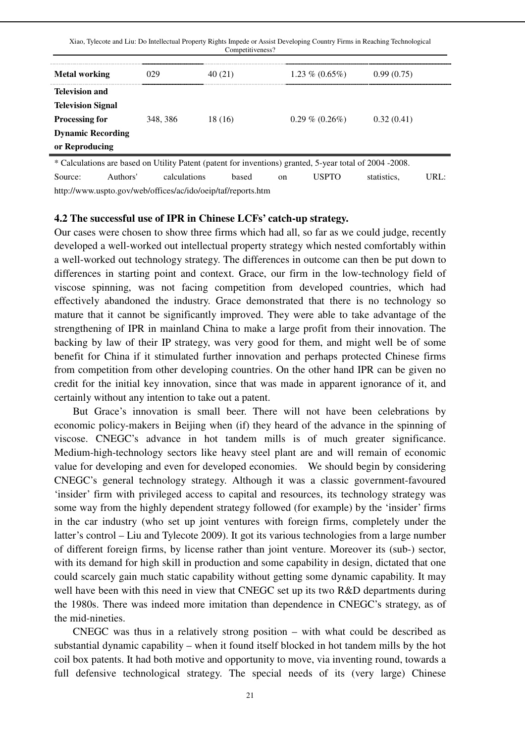| Xiao, Tylecote and Liu: Do Intellectual Property Rights Impede or Assist Developing Country Firms in Reaching Technological<br>Competitiveness? |          |         |                   |            |  |
|-------------------------------------------------------------------------------------------------------------------------------------------------|----------|---------|-------------------|------------|--|
| <b>Metal working</b>                                                                                                                            | 029      | 40(21)  | $1.23\% (0.65\%)$ | 0.99(0.75) |  |
| <b>Television and</b>                                                                                                                           |          |         |                   |            |  |
| <b>Television Signal</b>                                                                                                                        |          |         |                   |            |  |
| <b>Processing for</b>                                                                                                                           | 348, 386 | 18 (16) | $0.29\%$ (0.26%)  | 0.32(0.41) |  |
| <b>Dynamic Recording</b>                                                                                                                        |          |         |                   |            |  |
| or Reproducing                                                                                                                                  |          |         |                   |            |  |

\* Calculations are based on Utility Patent (patent for inventions) granted, 5-year total of 2004 -2008. Source: Authors' calculations based on USPTO statistics, URL: http://www.uspto.gov/web/offices/ac/ido/oeip/taf/reports.htm

#### **4.2 The successful use of IPR in Chinese LCFs' catch-up strategy.**

Our cases were chosen to show three firms which had all, so far as we could judge, recently developed a well-worked out intellectual property strategy which nested comfortably within a well-worked out technology strategy. The differences in outcome can then be put down to differences in starting point and context. Grace, our firm in the low-technology field of viscose spinning, was not facing competition from developed countries, which had effectively abandoned the industry. Grace demonstrated that there is no technology so mature that it cannot be significantly improved. They were able to take advantage of the strengthening of IPR in mainland China to make a large profit from their innovation. The backing by law of their IP strategy, was very good for them, and might well be of some benefit for China if it stimulated further innovation and perhaps protected Chinese firms from competition from other developing countries. On the other hand IPR can be given no credit for the initial key innovation, since that was made in apparent ignorance of it, and certainly without any intention to take out a patent.

 But Grace's innovation is small beer. There will not have been celebrations by economic policy-makers in Beijing when (if) they heard of the advance in the spinning of viscose. CNEGC's advance in hot tandem mills is of much greater significance. Medium-high-technology sectors like heavy steel plant are and will remain of economic value for developing and even for developed economies. We should begin by considering CNEGC's general technology strategy. Although it was a classic government-favoured 'insider' firm with privileged access to capital and resources, its technology strategy was some way from the highly dependent strategy followed (for example) by the 'insider' firms in the car industry (who set up joint ventures with foreign firms, completely under the latter's control – Liu and Tylecote 2009). It got its various technologies from a large number of different foreign firms, by license rather than joint venture. Moreover its (sub-) sector, with its demand for high skill in production and some capability in design, dictated that one could scarcely gain much static capability without getting some dynamic capability. It may well have been with this need in view that CNEGC set up its two R&D departments during the 1980s. There was indeed more imitation than dependence in CNEGC's strategy, as of the mid-nineties.

 CNEGC was thus in a relatively strong position – with what could be described as substantial dynamic capability – when it found itself blocked in hot tandem mills by the hot coil box patents. It had both motive and opportunity to move, via inventing round, towards a full defensive technological strategy. The special needs of its (very large) Chinese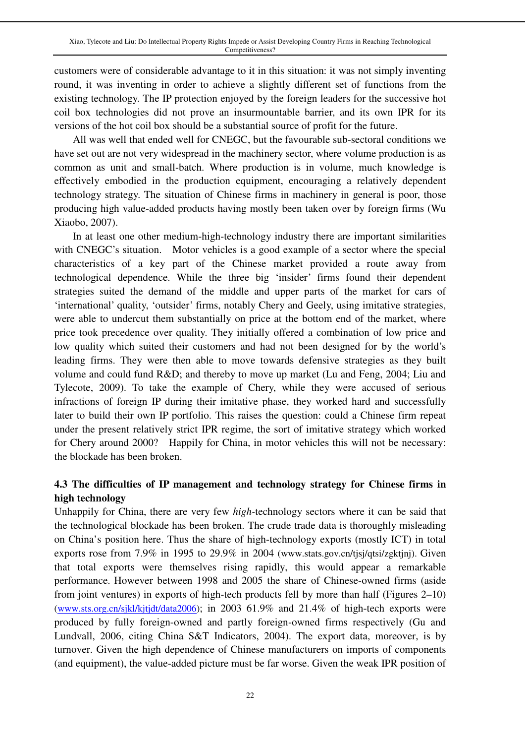customers were of considerable advantage to it in this situation: it was not simply inventing round, it was inventing in order to achieve a slightly different set of functions from the existing technology. The IP protection enjoyed by the foreign leaders for the successive hot coil box technologies did not prove an insurmountable barrier, and its own IPR for its versions of the hot coil box should be a substantial source of profit for the future.

 All was well that ended well for CNEGC, but the favourable sub-sectoral conditions we have set out are not very widespread in the machinery sector, where volume production is as common as unit and small-batch. Where production is in volume, much knowledge is effectively embodied in the production equipment, encouraging a relatively dependent technology strategy. The situation of Chinese firms in machinery in general is poor, those producing high value-added products having mostly been taken over by foreign firms (Wu Xiaobo, 2007).

 In at least one other medium-high-technology industry there are important similarities with CNEGC's situation. Motor vehicles is a good example of a sector where the special characteristics of a key part of the Chinese market provided a route away from technological dependence. While the three big 'insider' firms found their dependent strategies suited the demand of the middle and upper parts of the market for cars of 'international' quality, 'outsider' firms, notably Chery and Geely, using imitative strategies, were able to undercut them substantially on price at the bottom end of the market, where price took precedence over quality. They initially offered a combination of low price and low quality which suited their customers and had not been designed for by the world's leading firms. They were then able to move towards defensive strategies as they built volume and could fund R&D; and thereby to move up market (Lu and Feng, 2004; Liu and Tylecote, 2009). To take the example of Chery, while they were accused of serious infractions of foreign IP during their imitative phase, they worked hard and successfully later to build their own IP portfolio. This raises the question: could a Chinese firm repeat under the present relatively strict IPR regime, the sort of imitative strategy which worked for Chery around 2000? Happily for China, in motor vehicles this will not be necessary: the blockade has been broken.

# **4.3 The difficulties of IP management and technology strategy for Chinese firms in high technology**

Unhappily for China, there are very few *high-*technology sectors where it can be said that the technological blockade has been broken. The crude trade data is thoroughly misleading on China's position here. Thus the share of high-technology exports (mostly ICT) in total exports rose from 7.9% in 1995 to 29.9% in 2004 (www.stats.gov.cn/tjsj/qtsi/zgktjnj). Given that total exports were themselves rising rapidly, this would appear a remarkable performance. However between 1998 and 2005 the share of Chinese-owned firms (aside from joint ventures) in exports of high-tech products fell by more than half (Figures 2–10) (www.sts.org.cn/sjkl/kjtjdt/data2006); in 2003 61.9% and 21.4% of high-tech exports were produced by fully foreign-owned and partly foreign-owned firms respectively (Gu and Lundvall, 2006, citing China S&T Indicators, 2004). The export data, moreover, is by turnover. Given the high dependence of Chinese manufacturers on imports of components (and equipment), the value-added picture must be far worse. Given the weak IPR position of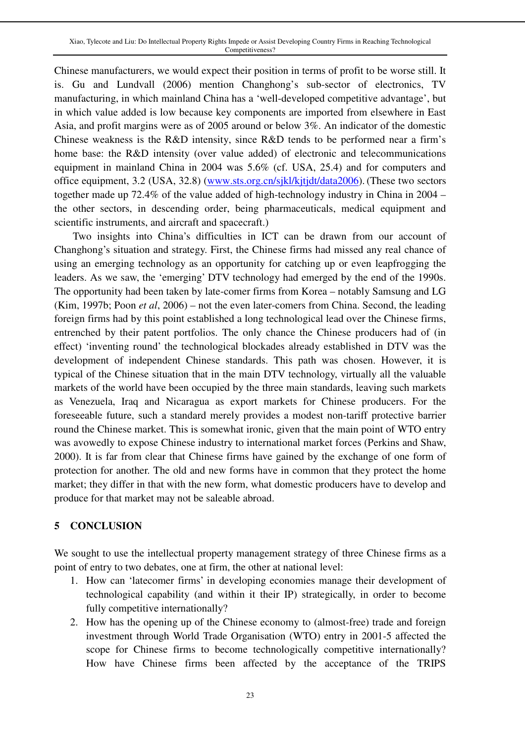Chinese manufacturers, we would expect their position in terms of profit to be worse still. It is. Gu and Lundvall (2006) mention Changhong's sub-sector of electronics, TV manufacturing, in which mainland China has a 'well-developed competitive advantage', but in which value added is low because key components are imported from elsewhere in East Asia, and profit margins were as of 2005 around or below 3%. An indicator of the domestic Chinese weakness is the R&D intensity, since R&D tends to be performed near a firm's home base: the R&D intensity (over value added) of electronic and telecommunications equipment in mainland China in 2004 was 5.6% (cf. USA, 25.4) and for computers and office equipment, 3.2 (USA, 32.8) (www.sts.org.cn/sjkl/kjtjdt/data2006). (These two sectors together made up 72.4% of the value added of high-technology industry in China in 2004 – the other sectors, in descending order, being pharmaceuticals, medical equipment and scientific instruments, and aircraft and spacecraft.)

 Two insights into China's difficulties in ICT can be drawn from our account of Changhong's situation and strategy. First, the Chinese firms had missed any real chance of using an emerging technology as an opportunity for catching up or even leapfrogging the leaders. As we saw, the 'emerging' DTV technology had emerged by the end of the 1990s. The opportunity had been taken by late-comer firms from Korea – notably Samsung and LG (Kim, 1997b; Poon *et al*, 2006) – not the even later-comers from China. Second, the leading foreign firms had by this point established a long technological lead over the Chinese firms, entrenched by their patent portfolios. The only chance the Chinese producers had of (in effect) 'inventing round' the technological blockades already established in DTV was the development of independent Chinese standards. This path was chosen. However, it is typical of the Chinese situation that in the main DTV technology, virtually all the valuable markets of the world have been occupied by the three main standards, leaving such markets as Venezuela, Iraq and Nicaragua as export markets for Chinese producers. For the foreseeable future, such a standard merely provides a modest non-tariff protective barrier round the Chinese market. This is somewhat ironic, given that the main point of WTO entry was avowedly to expose Chinese industry to international market forces (Perkins and Shaw, 2000). It is far from clear that Chinese firms have gained by the exchange of one form of protection for another. The old and new forms have in common that they protect the home market; they differ in that with the new form, what domestic producers have to develop and produce for that market may not be saleable abroad.

### **5 CONCLUSION**

We sought to use the intellectual property management strategy of three Chinese firms as a point of entry to two debates, one at firm, the other at national level:

- 1. How can 'latecomer firms' in developing economies manage their development of technological capability (and within it their IP) strategically, in order to become fully competitive internationally?
- 2. How has the opening up of the Chinese economy to (almost-free) trade and foreign investment through World Trade Organisation (WTO) entry in 2001-5 affected the scope for Chinese firms to become technologically competitive internationally? How have Chinese firms been affected by the acceptance of the TRIPS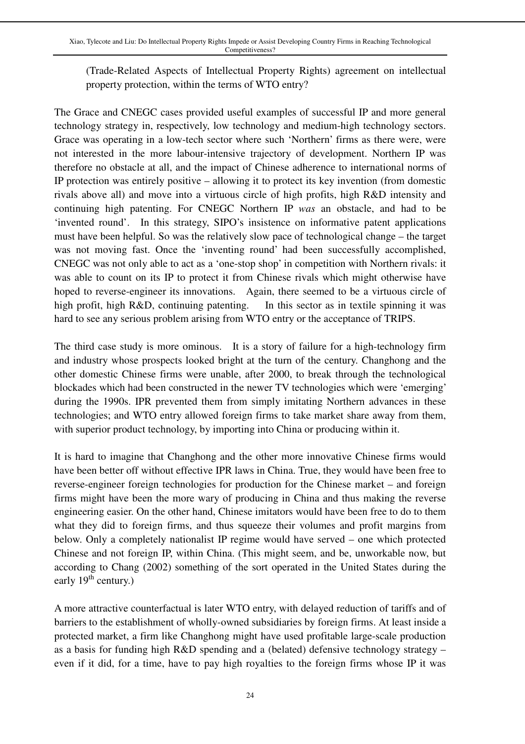(Trade-Related Aspects of Intellectual Property Rights) agreement on intellectual property protection, within the terms of WTO entry?

The Grace and CNEGC cases provided useful examples of successful IP and more general technology strategy in, respectively, low technology and medium-high technology sectors. Grace was operating in a low-tech sector where such 'Northern' firms as there were, were not interested in the more labour-intensive trajectory of development. Northern IP was therefore no obstacle at all, and the impact of Chinese adherence to international norms of IP protection was entirely positive – allowing it to protect its key invention (from domestic rivals above all) and move into a virtuous circle of high profits, high R&D intensity and continuing high patenting. For CNEGC Northern IP *was* an obstacle, and had to be 'invented round'. In this strategy, SIPO's insistence on informative patent applications must have been helpful. So was the relatively slow pace of technological change – the target was not moving fast. Once the 'inventing round' had been successfully accomplished, CNEGC was not only able to act as a 'one-stop shop' in competition with Northern rivals: it was able to count on its IP to protect it from Chinese rivals which might otherwise have hoped to reverse-engineer its innovations. Again, there seemed to be a virtuous circle of high profit, high R&D, continuing patenting. In this sector as in textile spinning it was hard to see any serious problem arising from WTO entry or the acceptance of TRIPS.

The third case study is more ominous. It is a story of failure for a high-technology firm and industry whose prospects looked bright at the turn of the century. Changhong and the other domestic Chinese firms were unable, after 2000, to break through the technological blockades which had been constructed in the newer TV technologies which were 'emerging' during the 1990s. IPR prevented them from simply imitating Northern advances in these technologies; and WTO entry allowed foreign firms to take market share away from them, with superior product technology, by importing into China or producing within it.

It is hard to imagine that Changhong and the other more innovative Chinese firms would have been better off without effective IPR laws in China. True, they would have been free to reverse-engineer foreign technologies for production for the Chinese market – and foreign firms might have been the more wary of producing in China and thus making the reverse engineering easier. On the other hand, Chinese imitators would have been free to do to them what they did to foreign firms, and thus squeeze their volumes and profit margins from below. Only a completely nationalist IP regime would have served – one which protected Chinese and not foreign IP, within China. (This might seem, and be, unworkable now, but according to Chang (2002) something of the sort operated in the United States during the early  $19^{th}$  century.)

A more attractive counterfactual is later WTO entry, with delayed reduction of tariffs and of barriers to the establishment of wholly-owned subsidiaries by foreign firms. At least inside a protected market, a firm like Changhong might have used profitable large-scale production as a basis for funding high R&D spending and a (belated) defensive technology strategy – even if it did, for a time, have to pay high royalties to the foreign firms whose IP it was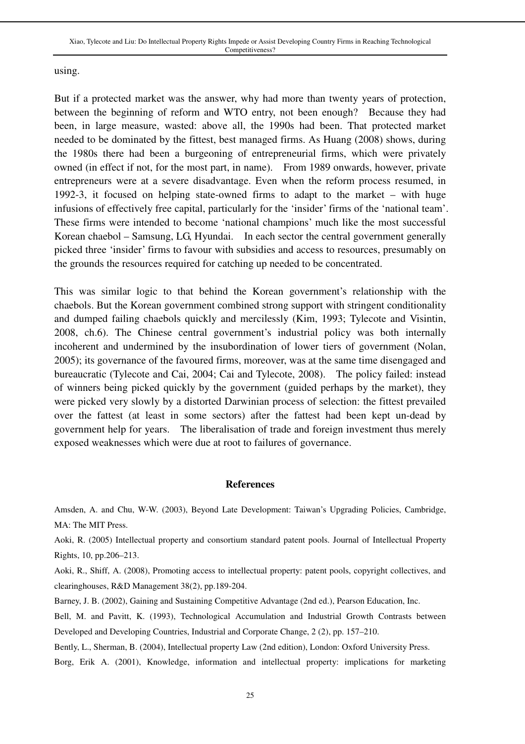using.

But if a protected market was the answer, why had more than twenty years of protection, between the beginning of reform and WTO entry, not been enough? Because they had been, in large measure, wasted: above all, the 1990s had been. That protected market needed to be dominated by the fittest, best managed firms. As Huang (2008) shows, during the 1980s there had been a burgeoning of entrepreneurial firms, which were privately owned (in effect if not, for the most part, in name). From 1989 onwards, however, private entrepreneurs were at a severe disadvantage. Even when the reform process resumed, in 1992-3, it focused on helping state-owned firms to adapt to the market – with huge infusions of effectively free capital, particularly for the 'insider' firms of the 'national team'. These firms were intended to become 'national champions' much like the most successful Korean chaebol – Samsung, LG, Hyundai. In each sector the central government generally picked three 'insider' firms to favour with subsidies and access to resources, presumably on the grounds the resources required for catching up needed to be concentrated.

This was similar logic to that behind the Korean government's relationship with the chaebols. But the Korean government combined strong support with stringent conditionality and dumped failing chaebols quickly and mercilessly (Kim, 1993; Tylecote and Visintin, 2008, ch.6). The Chinese central government's industrial policy was both internally incoherent and undermined by the insubordination of lower tiers of government (Nolan, 2005); its governance of the favoured firms, moreover, was at the same time disengaged and bureaucratic (Tylecote and Cai, 2004; Cai and Tylecote, 2008). The policy failed: instead of winners being picked quickly by the government (guided perhaps by the market), they were picked very slowly by a distorted Darwinian process of selection: the fittest prevailed over the fattest (at least in some sectors) after the fattest had been kept un-dead by government help for years. The liberalisation of trade and foreign investment thus merely exposed weaknesses which were due at root to failures of governance.

#### **References**

Amsden, A. and Chu, W-W. (2003), Beyond Late Development: Taiwan's Upgrading Policies, Cambridge, MA: The MIT Press.

Aoki, R. (2005) Intellectual property and consortium standard patent pools. Journal of Intellectual Property Rights, 10, pp.206–213.

Aoki, R., Shiff, A. (2008), Promoting access to intellectual property: patent pools, copyright collectives, and clearinghouses, R&D Management 38(2), pp.189-204.

Barney, J. B. (2002), Gaining and Sustaining Competitive Advantage (2nd ed.), Pearson Education, Inc.

Bell, M. and Pavitt, K. (1993), Technological Accumulation and Industrial Growth Contrasts between Developed and Developing Countries, Industrial and Corporate Change, 2 (2), pp. 157–210.

Bently, L., Sherman, B. (2004), Intellectual property Law (2nd edition), London: Oxford University Press.

Borg, Erik A. (2001), Knowledge, information and intellectual property: implications for marketing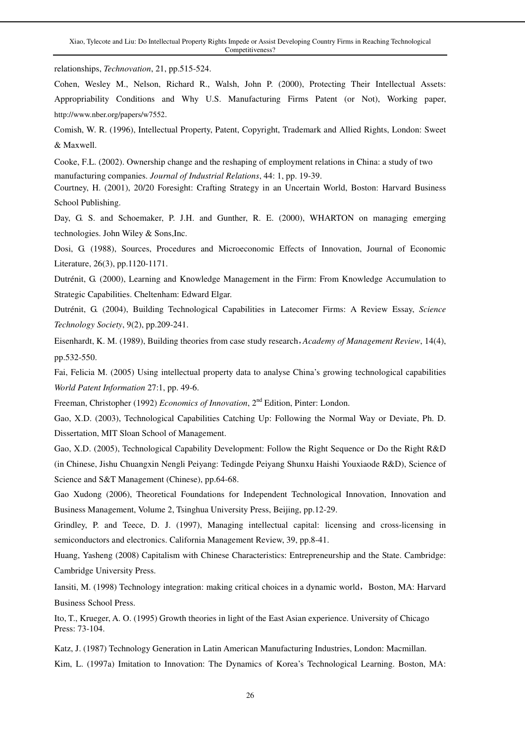Xiao, Tylecote and Liu: Do Intellectual Property Rights Impede or Assist Developing Country Firms in Reaching Technological Competitiveness?

relationships, *Technovation*, 21, pp.515-524.

Cohen, Wesley M., Nelson, Richard R., Walsh, John P. (2000), Protecting Their Intellectual Assets: Appropriability Conditions and Why U.S. Manufacturing Firms Patent (or Not), Working paper, http://www.nber.org/papers/w7552.

Comish, W. R. (1996), Intellectual Property, Patent, Copyright, Trademark and Allied Rights, London: Sweet & Maxwell.

Cooke, F.L. (2002). Ownership change and the reshaping of employment relations in China: a study of two manufacturing companies. *Journal of Industrial Relations*, 44: 1, pp. 19-39.

Courtney, H. (2001), 20/20 Foresight: Crafting Strategy in an Uncertain World, Boston: Harvard Business School Publishing.

Day, G. S. and Schoemaker, P. J.H. and Gunther, R. E. (2000), WHARTON on managing emerging technologies. John Wiley & Sons,Inc.

Dosi, G. (1988), Sources, Procedures and Microeconomic Effects of Innovation, Journal of Economic Literature, 26(3), pp.1120-1171.

Dutrénit, G. (2000), Learning and Knowledge Management in the Firm: From Knowledge Accumulation to Strategic Capabilities. Cheltenham: Edward Elgar.

Dutrénit, G. (2004), Building Technological Capabilities in Latecomer Firms: A Review Essay, *Science Technology Society*, 9(2), pp.209-241.

Eisenhardt, K. M. (1989), Building theories from case study research,*Academy of Management Review*, 14(4), pp.532-550.

Fai, Felicia M. (2005) Using intellectual property data to analyse China's growing technological capabilities *World Patent Information* 27:1, pp. 49-6.

Freeman, Christopher (1992) *Economics of Innovation*, 2<sup>nd</sup> Edition, Pinter: London.

Gao, X.D. (2003), Technological Capabilities Catching Up: Following the Normal Way or Deviate, Ph. D. Dissertation, MIT Sloan School of Management.

Gao, X.D. (2005), Technological Capability Development: Follow the Right Sequence or Do the Right R&D (in Chinese, Jishu Chuangxin Nengli Peiyang: Tedingde Peiyang Shunxu Haishi Youxiaode R&D), Science of Science and S&T Management (Chinese), pp.64-68.

Gao Xudong (2006), Theoretical Foundations for Independent Technological Innovation, Innovation and Business Management, Volume 2, Tsinghua University Press, Beijing, pp.12-29.

Grindley, P. and Teece, D. J. (1997), Managing intellectual capital: licensing and cross-licensing in semiconductors and electronics. California Management Review, 39, pp.8-41.

Huang, Yasheng (2008) Capitalism with Chinese Characteristics: Entrepreneurship and the State. Cambridge: Cambridge University Press.

Iansiti, M. (1998) Technology integration: making critical choices in a dynamic world, Boston, MA: Harvard Business School Press.

Ito, T., Krueger, A. O. (1995) Growth theories in light of the East Asian experience. University of Chicago Press: 73-104.

Katz, J. (1987) Technology Generation in Latin American Manufacturing Industries, London: Macmillan. Kim, L. (1997a) Imitation to Innovation: The Dynamics of Korea's Technological Learning. Boston, MA: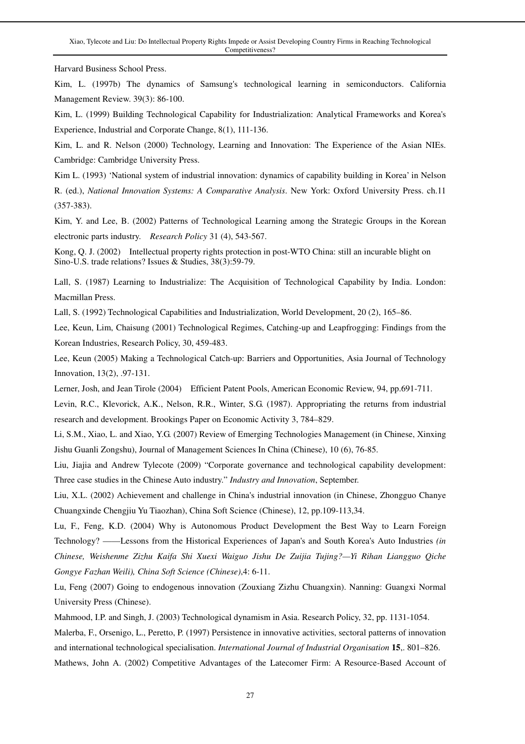Harvard Business School Press.

Kim, L. (1997b) The dynamics of Samsung's technological learning in semiconductors. California Management Review. 39(3): 86-100.

Kim, L. (1999) Building Technological Capability for Industrialization: Analytical Frameworks and Korea's Experience, Industrial and Corporate Change, 8(1), 111-136.

Kim, L. and R. Nelson (2000) Technology, Learning and Innovation: The Experience of the Asian NIEs. Cambridge: Cambridge University Press.

Kim L. (1993) 'National system of industrial innovation: dynamics of capability building in Korea' in Nelson R. (ed.), *National Innovation Systems: A Comparative Analysis*. New York: Oxford University Press. ch.11 (357-383).

Kim, Y. and Lee, B. (2002) Patterns of Technological Learning among the Strategic Groups in the Korean electronic parts industry. *Research Policy* 31 (4), 543-567.

Kong, Q. J. (2002) Intellectual property rights protection in post-WTO China: still an incurable blight on Sino-U.S. trade relations? Issues & Studies, 38(3):59-79.

Lall, S. (1987) Learning to Industrialize: The Acquisition of Technological Capability by India. London: Macmillan Press.

Lall, S. (1992) Technological Capabilities and Industrialization, World Development, 20 (2), 165–86.

Lee, Keun, Lim, Chaisung (2001) Technological Regimes, Catching-up and Leapfrogging: Findings from the Korean Industries, Research Policy, 30, 459-483.

Lee, Keun (2005) Making a Technological Catch-up: Barriers and Opportunities, Asia Journal of Technology Innovation, 13(2), .97-131.

Lerner, Josh, and Jean Tirole (2004) Efficient Patent Pools, American Economic Review, 94, pp.691-711.

Levin, R.C., Klevorick, A.K., Nelson, R.R., Winter, S.G. (1987). Appropriating the returns from industrial research and development. Brookings Paper on Economic Activity 3, 784–829.

Li, S.M., Xiao, L. and Xiao, Y.G. (2007) Review of Emerging Technologies Management (in Chinese, Xinxing Jishu Guanli Zongshu), Journal of Management Sciences In China (Chinese), 10 (6), 76-85.

Liu, Jiajia and Andrew Tylecote (2009) "Corporate governance and technological capability development: Three case studies in the Chinese Auto industry." *Industry and Innovation*, September.

Liu, X.L. (2002) Achievement and challenge in China's industrial innovation (in Chinese, Zhongguo Chanye Chuangxinde Chengjiu Yu Tiaozhan), China Soft Science (Chinese), 12, pp.109-113,34.

Lu, F., Feng, K.D. (2004) Why is Autonomous Product Development the Best Way to Learn Foreign Technology? ——Lessons from the Historical Experiences of Japan's and South Korea's Auto Industries *(in Chinese, Weishenme Zizhu Kaifa Shi Xuexi Waiguo Jishu De Zuijia Tujing?—Yi Rihan Liangguo Qiche Gongye Fazhan Weili), China Soft Science (Chinese)*,4: 6-11.

Lu, Feng (2007) Going to endogenous innovation (Zouxiang Zizhu Chuangxin). Nanning: Guangxi Normal University Press (Chinese).

Mahmood, I.P. and Singh, J. (2003) Technological dynamism in Asia. Research Policy, 32, pp. 1131-1054.

Malerba, F., Orsenigo, L., Peretto, P. (1997) Persistence in innovative activities, sectoral patterns of innovation and international technological specialisation. *International Journal of Industrial Organisation* **15**,. 801–826. Mathews, John A. (2002) Competitive Advantages of the Latecomer Firm: A Resource-Based Account of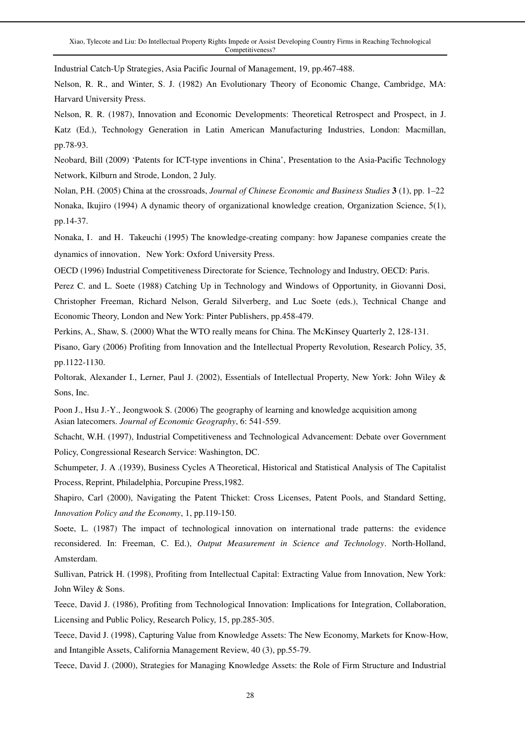Industrial Catch-Up Strategies, Asia Pacific Journal of Management, 19, pp.467-488.

Nelson, R. R., and Winter, S. J. (1982) An Evolutionary Theory of Economic Change, Cambridge, MA: Harvard University Press.

Nelson, R. R. (1987), Innovation and Economic Developments: Theoretical Retrospect and Prospect, in J. Katz (Ed.), Technology Generation in Latin American Manufacturing Industries, London: Macmillan, pp.78-93.

Neobard, Bill (2009) 'Patents for ICT-type inventions in China', Presentation to the Asia-Pacific Technology Network, Kilburn and Strode, London, 2 July.

Nolan, P.H. (2005) China at the crossroads, *Journal of Chinese Economic and Business Studies* **3** (1), pp. 1–22 Nonaka, Ikujiro (1994) A dynamic theory of organizational knowledge creation, Organization Science, 5(1), pp.14-37.

Nonaka, I. and H. Takeuchi (1995) The knowledge-creating company: how Japanese companies create the dynamics of innovation. New York: Oxford University Press.

OECD (1996) Industrial Competitiveness Directorate for Science, Technology and Industry, OECD: Paris.

Perez C. and L. Soete (1988) Catching Up in Technology and Windows of Opportunity, in Giovanni Dosi, Christopher Freeman, Richard Nelson, Gerald Silverberg, and Luc Soete (eds.), Technical Change and Economic Theory, London and New York: Pinter Publishers, pp.458-479.

Perkins, A., Shaw, S. (2000) What the WTO really means for China. The McKinsey Quarterly 2, 128-131.

Pisano, Gary (2006) Profiting from Innovation and the Intellectual Property Revolution, Research Policy, 35, pp.1122-1130.

Poltorak, Alexander I., Lerner, Paul J. (2002), Essentials of Intellectual Property, New York: John Wiley & Sons, Inc.

Poon J., Hsu J.-Y., Jeongwook S. (2006) The geography of learning and knowledge acquisition among Asian latecomers. *Journal of Economic Geography*, 6: 541-559.

Schacht, W.H. (1997), Industrial Competitiveness and Technological Advancement: Debate over Government Policy, Congressional Research Service: Washington, DC.

Schumpeter, J. A .(1939), Business Cycles A Theoretical, Historical and Statistical Analysis of The Capitalist Process, Reprint, Philadelphia, Porcupine Press,1982.

Shapiro, Carl (2000), Navigating the Patent Thicket: Cross Licenses, Patent Pools, and Standard Setting, *Innovation Policy and the Economy*, 1, pp.119-150.

Soete, L. (1987) The impact of technological innovation on international trade patterns: the evidence reconsidered. In: Freeman, C. Ed.), *Output Measurement in Science and Technology*. North-Holland, Amsterdam.

Sullivan, Patrick H. (1998), Profiting from Intellectual Capital: Extracting Value from Innovation, New York: John Wiley & Sons.

Teece, David J. (1986), Profiting from Technological Innovation: Implications for Integration, Collaboration, Licensing and Public Policy, Research Policy, 15, pp.285-305.

Teece, David J. (1998), Capturing Value from Knowledge Assets: The New Economy, Markets for Know-How, and Intangible Assets, California Management Review, 40 (3), pp.55-79.

Teece, David J. (2000), Strategies for Managing Knowledge Assets: the Role of Firm Structure and Industrial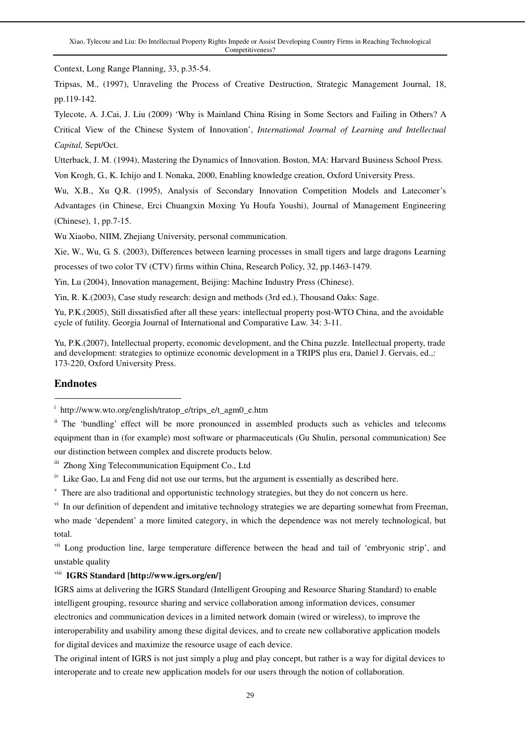Context, Long Range Planning, 33, p.35-54.

Tripsas, M., (1997), Unraveling the Process of Creative Destruction, Strategic Management Journal, 18, pp.119-142.

Tylecote, A. J.Cai, J. Liu (2009) 'Why is Mainland China Rising in Some Sectors and Failing in Others? A Critical View of the Chinese System of Innovation', *International Journal of Learning and Intellectual Capital,* Sept/Oct.

Utterback, J. M. (1994), Mastering the Dynamics of Innovation. Boston, MA: Harvard Business School Press.

Von Krogh, G., K. Ichijo and I. Nonaka, 2000, Enabling knowledge creation, Oxford University Press.

Wu, X.B., Xu Q.R. (1995), Analysis of Secondary Innovation Competition Models and Latecomer's Advantages (in Chinese, Erci Chuangxin Moxing Yu Houfa Youshi), Journal of Management Engineering (Chinese), 1, pp.7-15.

Wu Xiaobo, NIIM, Zhejiang University, personal communication.

Xie, W., Wu, G. S. (2003), Differences between learning processes in small tigers and large dragons Learning

processes of two color TV (CTV) firms within China, Research Policy, 32, pp.1463-1479.

Yin, Lu (2004), Innovation management, Beijing: Machine Industry Press (Chinese).

Yin, R. K.(2003), Case study research: design and methods (3rd ed.), Thousand Oaks: Sage.

Yu, P.K.(2005), Still dissatisfied after all these years: intellectual property post-WTO China, and the avoidable cycle of futility. Georgia Journal of International and Comparative Law. 34: 3-11.

Yu, P.K.(2007), Intellectual property, economic development, and the China puzzle. Intellectual property, trade and development: strategies to optimize economic development in a TRIPS plus era, Daniel J. Gervais, ed.,: 173-220, Oxford University Press.

#### **Endnotes**

 $\overline{a}$ 

iii Zhong Xing Telecommunication Equipment Co., Ltd

 $i<sup>v</sup>$  Like Gao, Lu and Feng did not use our terms, but the argument is essentially as described here.

<sup>v</sup> There are also traditional and opportunistic technology strategies, but they do not concern us here.

<sup>vi</sup> In our definition of dependent and imitative technology strategies we are departing somewhat from Freeman, who made 'dependent' a more limited category, in which the dependence was not merely technological, but total.

<sup>vii</sup> Long production line, large temperature difference between the head and tail of 'embryonic strip', and unstable quality

### viii **IGRS Standard [http://www.igrs.org/en/]**

IGRS aims at delivering the IGRS Standard (Intelligent Grouping and Resource Sharing Standard) to enable intelligent grouping, resource sharing and service collaboration among information devices, consumer electronics and communication devices in a limited network domain (wired or wireless), to improve the interoperability and usability among these digital devices, and to create new collaborative application models for digital devices and maximize the resource usage of each device.

The original intent of IGRS is not just simply a plug and play concept, but rather is a way for digital devices to interoperate and to create new application models for our users through the notion of collaboration.

<sup>&</sup>lt;sup>i</sup> http://www.wto.org/english/tratop\_e/trips\_e/t\_agm0\_e.htm

<sup>&</sup>lt;sup>ii</sup> The 'bundling' effect will be more pronounced in assembled products such as vehicles and telecoms equipment than in (for example) most software or pharmaceuticals (Gu Shulin, personal communication) See our distinction between complex and discrete products below.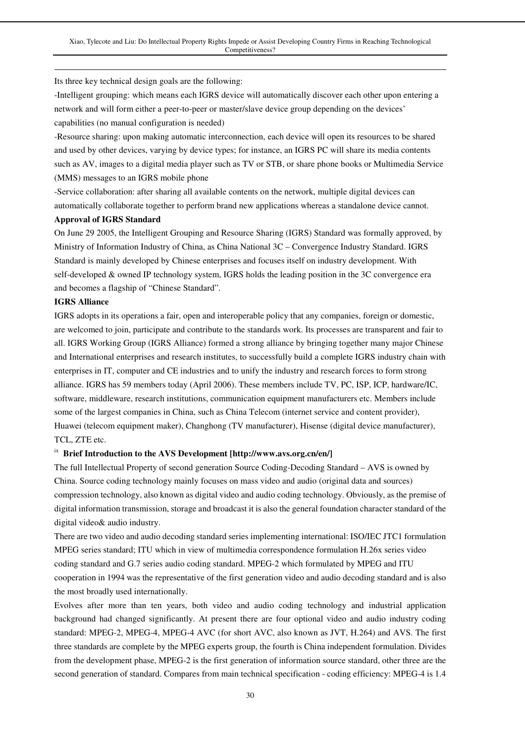Its three key technical design goals are the following:

-Intelligent grouping: which means each IGRS device will automatically discover each other upon entering a network and will form either a peer-to-peer or master/slave device group depending on the devices' capabilities (no manual configuration is needed)

-Resource sharing: upon making automatic interconnection, each device will open its resources to be shared and used by other devices, varying by device types; for instance, an IGRS PC will share its media contents such as AV, images to a digital media player such as TV or STB, or share phone books or Multimedia Service (MMS) messages to an IGRS mobile phone

-Service collaboration: after sharing all available contents on the network, multiple digital devices can automatically collaborate together to perform brand new applications whereas a standalone device cannot.

#### **Approval of IGRS Standard**

On June 29 2005, the Intelligent Grouping and Resource Sharing (IGRS) Standard was formally approved, by Ministry of Information Industry of China, as China National 3C – Convergence Industry Standard. IGRS Standard is mainly developed by Chinese enterprises and focuses itself on industry development. With self-developed & owned IP technology system, IGRS holds the leading position in the 3C convergence era and becomes a flagship of "Chinese Standard".

#### **IGRS Alliance**

 $\overline{a}$ 

IGRS adopts in its operations a fair, open and interoperable policy that any companies, foreign or domestic, are welcomed to join, participate and contribute to the standards work. Its processes are transparent and fair to all. IGRS Working Group (IGRS Alliance) formed a strong alliance by bringing together many major Chinese and International enterprises and research institutes, to successfully build a complete IGRS industry chain with enterprises in IT, computer and CE industries and to unify the industry and research forces to form strong alliance. IGRS has 59 members today (April 2006). These members include TV, PC, ISP, ICP, hardware/IC, software, middleware, research institutions, communication equipment manufacturers etc. Members include some of the largest companies in China, such as China Telecom (internet service and content provider), Huawei (telecom equipment maker), Changhong (TV manufacturer), Hisense (digital device manufacturer), TCL, ZTE etc.

#### ix **Brief Introduction to the AVS Development [http://www.avs.org.cn/en/]**

The full Intellectual Property of second generation Source Coding-Decoding Standard – AVS is owned by China. Source coding technology mainly focuses on mass video and audio (original data and sources) compression technology, also known as digital video and audio coding technology. Obviously, as the premise of digital information transmission, storage and broadcast it is also the general foundation character standard of the digital video& audio industry.

There are two video and audio decoding standard series implementing international: ISO/IEC JTC1 formulation MPEG series standard; ITU which in view of multimedia correspondence formulation H.26x series video coding standard and G.7 series audio coding standard. MPEG-2 which formulated by MPEG and ITU cooperation in 1994 was the representative of the first generation video and audio decoding standard and is also the most broadly used internationally.

Evolves after more than ten years, both video and audio coding technology and industrial application background had changed significantly. At present there are four optional video and audio industry coding standard: MPEG-2, MPEG-4, MPEG-4 AVC (for short AVC, also known as JVT, H.264) and AVS. The first three standards are complete by the MPEG experts group, the fourth is China independent formulation. Divides from the development phase, MPEG-2 is the first generation of information source standard, other three are the second generation of standard. Compares from main technical specification - coding efficiency: MPEG-4 is 1.4